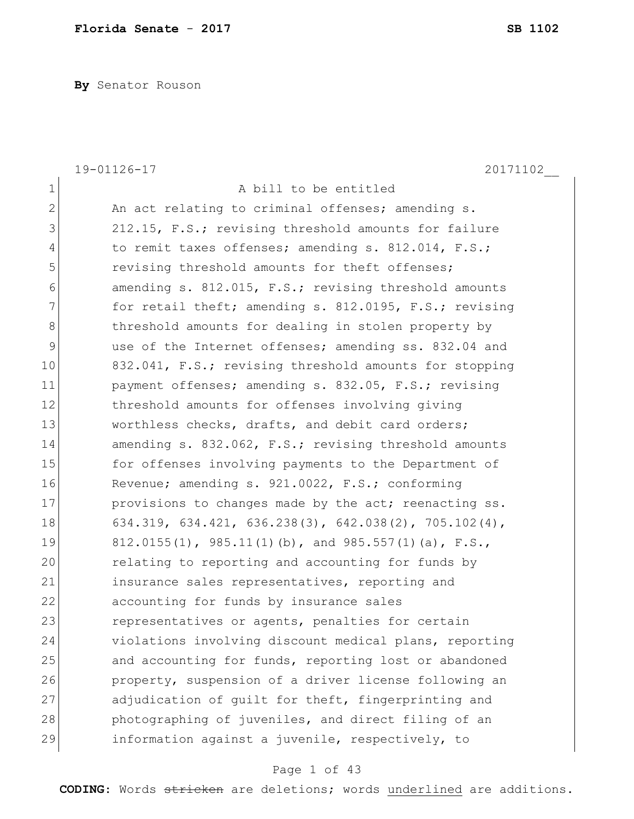**By** Senator Rouson

|                | 20171102<br>19-01126-17                                |
|----------------|--------------------------------------------------------|
| $\mathbf 1$    | A bill to be entitled                                  |
| $\overline{2}$ | An act relating to criminal offenses; amending s.      |
| 3              | 212.15, F.S.; revising threshold amounts for failure   |
| 4              | to remit taxes offenses; amending s. 812.014, F.S.;    |
| 5              | revising threshold amounts for theft offenses;         |
| 6              | amending s. 812.015, F.S.; revising threshold amounts  |
| 7              | for retail theft; amending s. 812.0195, F.S.; revising |
| 8              | threshold amounts for dealing in stolen property by    |
| 9              | use of the Internet offenses; amending ss. 832.04 and  |
| 10             | 832.041, F.S.; revising threshold amounts for stopping |
| 11             | payment offenses; amending s. 832.05, F.S.; revising   |
| 12             | threshold amounts for offenses involving giving        |
| 13             | worthless checks, drafts, and debit card orders;       |
| 14             | amending s. 832.062, F.S.; revising threshold amounts  |
| 15             | for offenses involving payments to the Department of   |
| 16             | Revenue; amending s. 921.0022, F.S.; conforming        |
| 17             | provisions to changes made by the act; reenacting ss.  |
| 18             | 634.319, 634.421, 636.238(3), 642.038(2), 705.102(4),  |
| 19             | 812.0155(1), 985.11(1)(b), and 985.557(1)(a), F.S.,    |
| 20             | relating to reporting and accounting for funds by      |
| 21             | insurance sales representatives, reporting and         |
| 22             | accounting for funds by insurance sales                |
| 23             | representatives or agents, penalties for certain       |
| 24             | violations involving discount medical plans, reporting |
| 25             | and accounting for funds, reporting lost or abandoned  |
| 26             | property, suspension of a driver license following an  |
| 27             | adjudication of quilt for theft, fingerprinting and    |
| 28             | photographing of juveniles, and direct filing of an    |
| 29             | information against a juvenile, respectively, to       |

# Page 1 of 43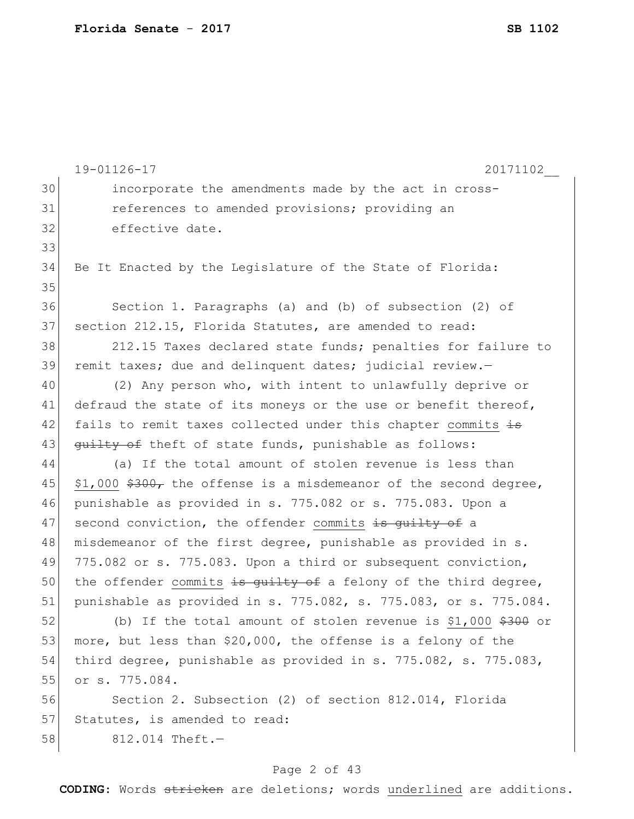|    | 19-01126-17<br>20171102_                                            |  |  |  |  |  |
|----|---------------------------------------------------------------------|--|--|--|--|--|
| 30 | incorporate the amendments made by the act in cross-                |  |  |  |  |  |
| 31 | references to amended provisions; providing an                      |  |  |  |  |  |
| 32 | effective date.                                                     |  |  |  |  |  |
| 33 |                                                                     |  |  |  |  |  |
| 34 | Be It Enacted by the Legislature of the State of Florida:           |  |  |  |  |  |
| 35 |                                                                     |  |  |  |  |  |
| 36 | Section 1. Paragraphs (a) and (b) of subsection (2) of              |  |  |  |  |  |
| 37 | section 212.15, Florida Statutes, are amended to read:              |  |  |  |  |  |
| 38 | 212.15 Taxes declared state funds; penalties for failure to         |  |  |  |  |  |
| 39 | remit taxes; due and delinquent dates; judicial review.-            |  |  |  |  |  |
| 40 | (2) Any person who, with intent to unlawfully deprive or            |  |  |  |  |  |
| 41 | defraud the state of its moneys or the use or benefit thereof,      |  |  |  |  |  |
| 42 | fails to remit taxes collected under this chapter commits is        |  |  |  |  |  |
| 43 | quilty of theft of state funds, punishable as follows:              |  |  |  |  |  |
| 44 | (a) If the total amount of stolen revenue is less than              |  |  |  |  |  |
| 45 | $$1,000$ $$300r$ the offense is a misdemeanor of the second degree, |  |  |  |  |  |
| 46 | punishable as provided in s. 775.082 or s. 775.083. Upon a          |  |  |  |  |  |
| 47 | second conviction, the offender commits is quilty of a              |  |  |  |  |  |
| 48 | misdemeanor of the first degree, punishable as provided in s.       |  |  |  |  |  |
| 49 | 775.082 or s. 775.083. Upon a third or subsequent conviction,       |  |  |  |  |  |
| 50 | the offender commits is quilty of a felony of the third degree,     |  |  |  |  |  |
| 51 | punishable as provided in s. 775.082, s. 775.083, or s. 775.084.    |  |  |  |  |  |
| 52 | (b) If the total amount of stolen revenue is \$1,000 $$300$ or      |  |  |  |  |  |
| 53 | more, but less than \$20,000, the offense is a felony of the        |  |  |  |  |  |
| 54 | third degree, punishable as provided in s. 775.082, s. 775.083,     |  |  |  |  |  |
| 55 | or s. 775.084.                                                      |  |  |  |  |  |
| 56 | Section 2. Subsection (2) of section 812.014, Florida               |  |  |  |  |  |
| 57 | Statutes, is amended to read:                                       |  |  |  |  |  |
| 58 | 812.014 Theft.-                                                     |  |  |  |  |  |
|    |                                                                     |  |  |  |  |  |

# Page 2 of 43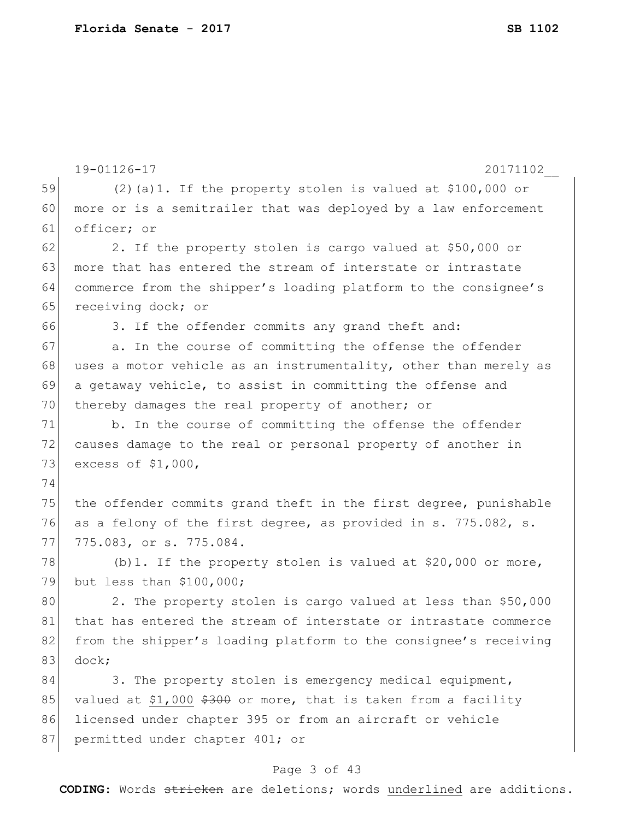|    | 19-01126-17<br>20171102                                          |  |  |  |  |  |  |
|----|------------------------------------------------------------------|--|--|--|--|--|--|
| 59 | $(2)$ (a) 1. If the property stolen is valued at \$100,000 or    |  |  |  |  |  |  |
| 60 | more or is a semitrailer that was deployed by a law enforcement  |  |  |  |  |  |  |
| 61 | officer; or                                                      |  |  |  |  |  |  |
| 62 | 2. If the property stolen is cargo valued at \$50,000 or         |  |  |  |  |  |  |
| 63 | more that has entered the stream of interstate or intrastate     |  |  |  |  |  |  |
| 64 | commerce from the shipper's loading platform to the consignee's  |  |  |  |  |  |  |
| 65 | receiving dock; or                                               |  |  |  |  |  |  |
| 66 | 3. If the offender commits any grand theft and:                  |  |  |  |  |  |  |
| 67 | a. In the course of committing the offense the offender          |  |  |  |  |  |  |
| 68 | uses a motor vehicle as an instrumentality, other than merely as |  |  |  |  |  |  |
| 69 | a getaway vehicle, to assist in committing the offense and       |  |  |  |  |  |  |
| 70 | thereby damages the real property of another; or                 |  |  |  |  |  |  |
| 71 | b. In the course of committing the offense the offender          |  |  |  |  |  |  |
| 72 | causes damage to the real or personal property of another in     |  |  |  |  |  |  |
| 73 | excess of \$1,000,                                               |  |  |  |  |  |  |
| 74 |                                                                  |  |  |  |  |  |  |
| 75 | the offender commits grand theft in the first degree, punishable |  |  |  |  |  |  |
| 76 | as a felony of the first degree, as provided in s. 775.082, s.   |  |  |  |  |  |  |
| 77 | 775.083, or s. 775.084.                                          |  |  |  |  |  |  |
| 78 | (b) 1. If the property stolen is valued at $$20,000$ or more,    |  |  |  |  |  |  |
| 79 | but less than \$100,000;                                         |  |  |  |  |  |  |
| 80 | 2. The property stolen is cargo valued at less than \$50,000     |  |  |  |  |  |  |
| 81 | that has entered the stream of interstate or intrastate commerce |  |  |  |  |  |  |
| 82 | from the shipper's loading platform to the consignee's receiving |  |  |  |  |  |  |
| 83 | dock;                                                            |  |  |  |  |  |  |
| 84 | 3. The property stolen is emergency medical equipment,           |  |  |  |  |  |  |
| 85 | valued at \$1,000 \$300 or more, that is taken from a facility   |  |  |  |  |  |  |
| 86 | licensed under chapter 395 or from an aircraft or vehicle        |  |  |  |  |  |  |
| 87 | permitted under chapter 401; or                                  |  |  |  |  |  |  |

# Page 3 of 43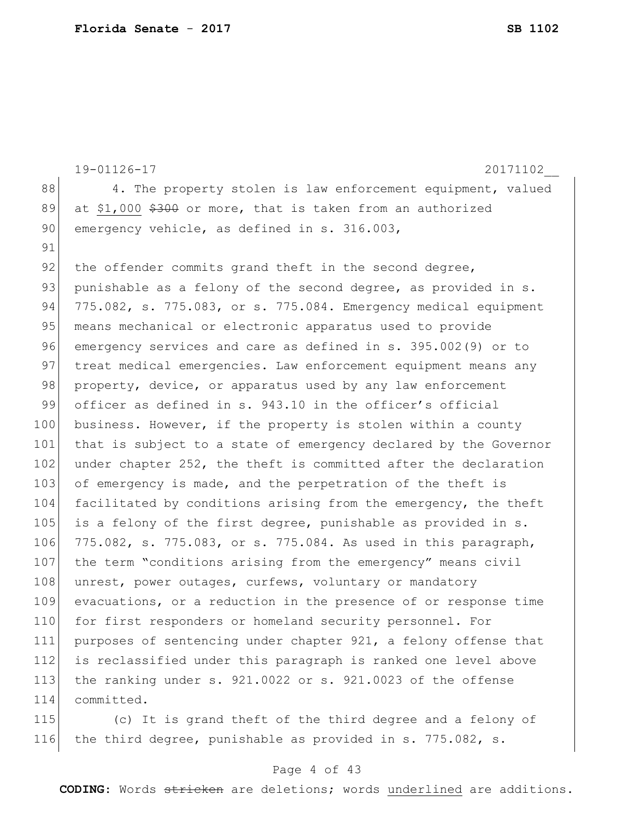|     | 19-01126-17<br>20171102                                          |
|-----|------------------------------------------------------------------|
| 88  | 4. The property stolen is law enforcement equipment, valued      |
| 89  | at \$1,000 \$300 or more, that is taken from an authorized       |
| 90  | emergency vehicle, as defined in s. 316.003,                     |
| 91  |                                                                  |
| 92  | the offender commits grand theft in the second degree,           |
| 93  | punishable as a felony of the second degree, as provided in s.   |
| 94  | 775.082, s. 775.083, or s. 775.084. Emergency medical equipment  |
| 95  | means mechanical or electronic apparatus used to provide         |
| 96  | emergency services and care as defined in s. 395.002(9) or to    |
| 97  | treat medical emergencies. Law enforcement equipment means any   |
| 98  | property, device, or apparatus used by any law enforcement       |
| 99  | officer as defined in s. 943.10 in the officer's official        |
| 100 | business. However, if the property is stolen within a county     |
| 101 | that is subject to a state of emergency declared by the Governor |
| 102 | under chapter 252, the theft is committed after the declaration  |
| 103 | of emergency is made, and the perpetration of the theft is       |
| 104 | facilitated by conditions arising from the emergency, the theft  |
| 105 | is a felony of the first degree, punishable as provided in s.    |
| 106 | 775.082, s. 775.083, or s. 775.084. As used in this paragraph,   |
| 107 | the term "conditions arising from the emergency" means civil     |
| 108 | unrest, power outages, curfews, voluntary or mandatory           |
| 109 | evacuations, or a reduction in the presence of or response time  |
| 110 | for first responders or homeland security personnel. For         |
| 111 | purposes of sentencing under chapter 921, a felony offense that  |
| 112 | is reclassified under this paragraph is ranked one level above   |
| 113 | the ranking under s. 921.0022 or s. 921.0023 of the offense      |
| 114 | committed.                                                       |
| 115 | (c) It is grand theft of the third degree and a felony of        |

116 the third degree, punishable as provided in s. 775.082, s.

#### Page 4 of 43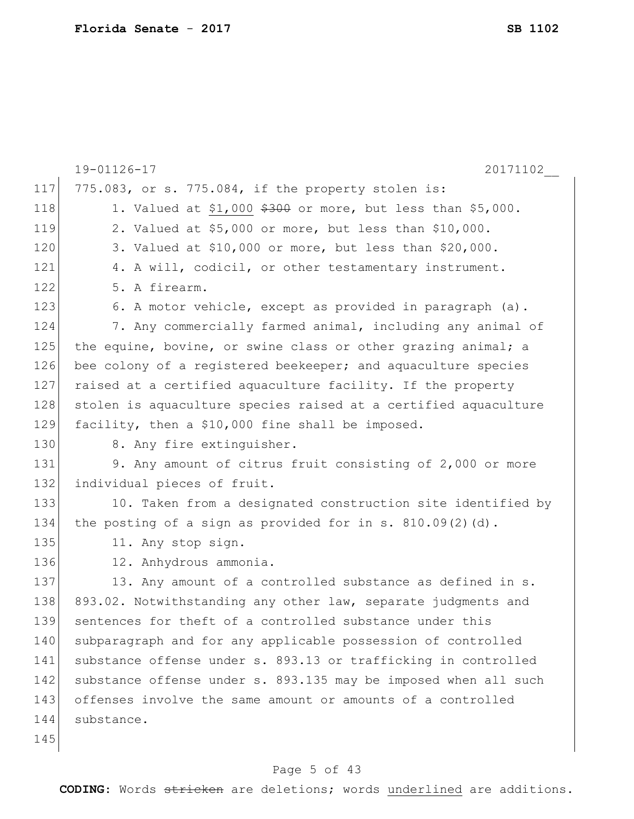|     | 19-01126-17<br>20171102                                         |
|-----|-----------------------------------------------------------------|
| 117 | 775.083, or s. 775.084, if the property stolen is:              |
| 118 | 1. Valued at \$1,000 $$300$ or more, but less than \$5,000.     |
| 119 | 2. Valued at \$5,000 or more, but less than \$10,000.           |
| 120 | 3. Valued at \$10,000 or more, but less than \$20,000.          |
| 121 | 4. A will, codicil, or other testamentary instrument.           |
| 122 | 5. A firearm.                                                   |
| 123 | 6. A motor vehicle, except as provided in paragraph (a).        |
| 124 | 7. Any commercially farmed animal, including any animal of      |
| 125 | the equine, bovine, or swine class or other grazing animal; a   |
| 126 | bee colony of a registered beekeeper; and aquaculture species   |
| 127 | raised at a certified aquaculture facility. If the property     |
| 128 | stolen is aquaculture species raised at a certified aquaculture |
| 129 | facility, then a \$10,000 fine shall be imposed.                |
| 130 | 8. Any fire extinguisher.                                       |
| 131 | 9. Any amount of citrus fruit consisting of 2,000 or more       |
| 132 | individual pieces of fruit.                                     |
| 133 | 10. Taken from a designated construction site identified by     |
| 134 | the posting of a sign as provided for in s. $810.09(2)(d)$ .    |
| 135 | 11. Any stop sign.                                              |
| 136 | 12. Anhydrous ammonia.                                          |
| 137 | 13. Any amount of a controlled substance as defined in s.       |
| 138 | 893.02. Notwithstanding any other law, separate judgments and   |
| 139 | sentences for theft of a controlled substance under this        |
| 140 | subparagraph and for any applicable possession of controlled    |
| 141 | substance offense under s. 893.13 or trafficking in controlled  |
| 142 | substance offense under s. 893.135 may be imposed when all such |
| 143 | offenses involve the same amount or amounts of a controlled     |
| 144 | substance.                                                      |
| 145 |                                                                 |

# Page 5 of 43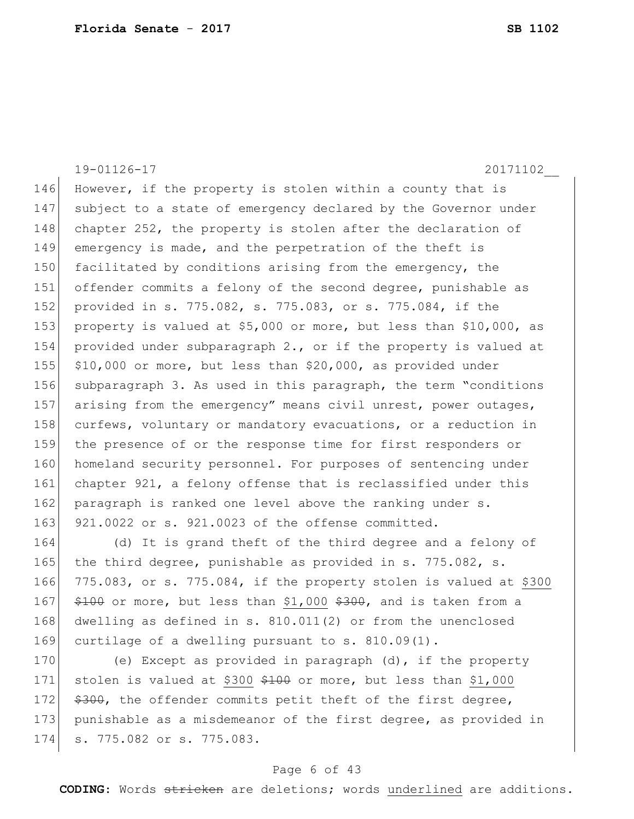19-01126-17 20171102\_\_ 146 However, if the property is stolen within a county that is 147 subject to a state of emergency declared by the Governor under 148 chapter 252, the property is stolen after the declaration of 149 emergency is made, and the perpetration of the theft is 150 facilitated by conditions arising from the emergency, the 151 offender commits a felony of the second degree, punishable as 152 provided in s. 775.082, s. 775.083, or s. 775.084, if the 153 property is valued at \$5,000 or more, but less than \$10,000, as 154 provided under subparagraph 2., or if the property is valued at 155 \$10,000 or more, but less than \$20,000, as provided under 156 subparagraph 3. As used in this paragraph, the term "conditions 157 arising from the emergency" means civil unrest, power outages, 158 curfews, voluntary or mandatory evacuations, or a reduction in 159 the presence of or the response time for first responders or 160 homeland security personnel. For purposes of sentencing under 161 chapter 921, a felony offense that is reclassified under this 162 paragraph is ranked one level above the ranking under s. 163 921.0022 or s. 921.0023 of the offense committed.

 (d) It is grand theft of the third degree and a felony of 165 the third degree, punishable as provided in s. 775.082, s.  $775.083$ , or s. 775.084, if the property stolen is valued at \$300  $$100$  or more, but less than \$1,000 \$300, and is taken from a 168 dwelling as defined in s. 810.011(2) or from the unenclosed curtilage of a dwelling pursuant to s. 810.09(1).

170 (e) Except as provided in paragraph (d), if the property 171 stolen is valued at \$300  $\frac{2100}{1000}$  or more, but less than \$1,000 172  $\frac{172}{172}$   $\frac{172}{172}$  the offender commits petit theft of the first degree, 173 punishable as a misdemeanor of the first degree, as provided in 174 s. 775.082 or s. 775.083.

#### Page 6 of 43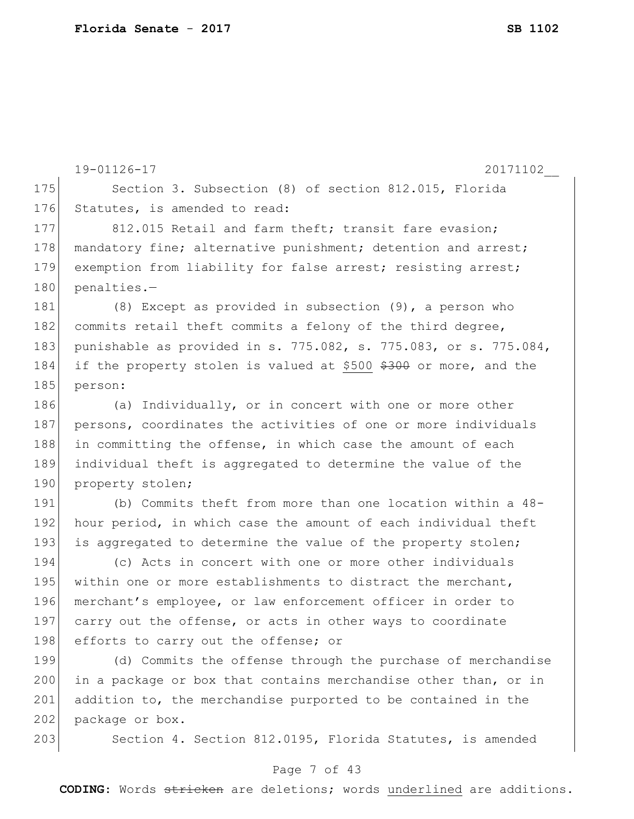```
19-01126-17 20171102__
175 Section 3. Subsection (8) of section 812.015, Florida
176 Statutes, is amended to read:
177 812.015 Retail and farm theft; transit fare evasion;
178 mandatory fine; alternative punishment; detention and arrest;
179 exemption from liability for false arrest; resisting arrest;
180 penalties.-
181 (8) Except as provided in subsection (9), a person who
182 commits retail theft commits a felony of the third degree,
183 punishable as provided in s. 775.082, s. 775.083, or s. 775.084, 
184 if the property stolen is valued at $500 $300 or more, and the
185 person:
186 (a) Individually, or in concert with one or more other
187 persons, coordinates the activities of one or more individuals
188 in committing the offense, in which case the amount of each
189 individual theft is aggregated to determine the value of the 
190 property stolen;
191 (b) Commits theft from more than one location within a 48-
192 hour period, in which case the amount of each individual theft
193 is aggregated to determine the value of the property stolen;
194 (c) Acts in concert with one or more other individuals 
195 within one or more establishments to distract the merchant,
196 merchant's employee, or law enforcement officer in order to 
197 carry out the offense, or acts in other ways to coordinate
198 efforts to carry out the offense; or
199 (d) Commits the offense through the purchase of merchandise 
200 in a package or box that contains merchandise other than, or in
201 addition to, the merchandise purported to be contained in the 
202 package or box.
```
203 Section 4. Section 812.0195, Florida Statutes, is amended

#### Page 7 of 43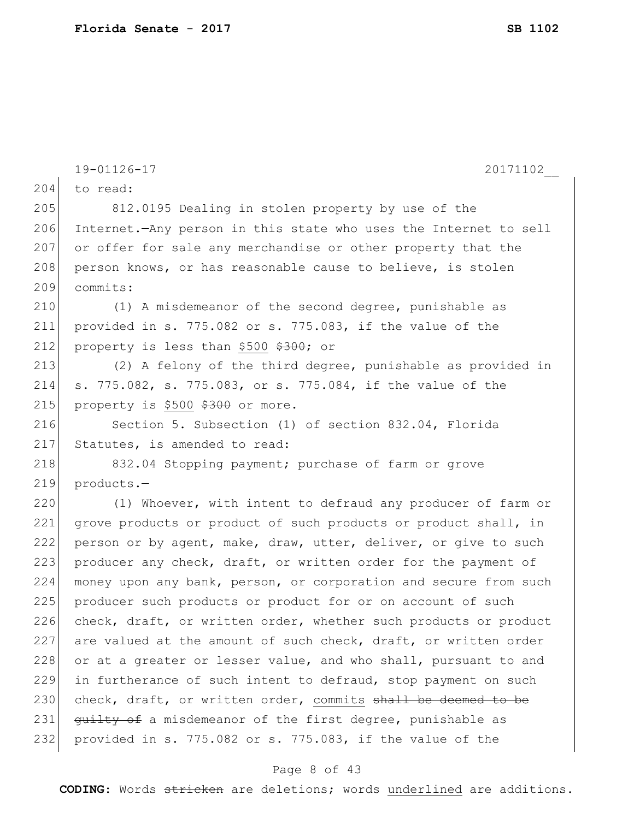|     | 20171102<br>19-01126-17                                          |  |  |  |  |  |  |
|-----|------------------------------------------------------------------|--|--|--|--|--|--|
| 204 | to read:                                                         |  |  |  |  |  |  |
| 205 | 812.0195 Dealing in stolen property by use of the                |  |  |  |  |  |  |
| 206 | Internet. Any person in this state who uses the Internet to sell |  |  |  |  |  |  |
| 207 | or offer for sale any merchandise or other property that the     |  |  |  |  |  |  |
| 208 | person knows, or has reasonable cause to believe, is stolen      |  |  |  |  |  |  |
| 209 | commits:                                                         |  |  |  |  |  |  |
| 210 | (1) A misdemeanor of the second degree, punishable as            |  |  |  |  |  |  |
| 211 | provided in s. 775.082 or s. 775.083, if the value of the        |  |  |  |  |  |  |
| 212 | property is less than \$500 \$300; or                            |  |  |  |  |  |  |
| 213 | (2) A felony of the third degree, punishable as provided in      |  |  |  |  |  |  |
| 214 | s. 775.082, s. 775.083, or s. 775.084, if the value of the       |  |  |  |  |  |  |
| 215 | property is \$500 \$300 or more.                                 |  |  |  |  |  |  |
| 216 | Section 5. Subsection (1) of section 832.04, Florida             |  |  |  |  |  |  |
| 217 | Statutes, is amended to read:                                    |  |  |  |  |  |  |
| 218 | 832.04 Stopping payment; purchase of farm or grove               |  |  |  |  |  |  |
| 219 | products.-                                                       |  |  |  |  |  |  |
| 220 | (1) Whoever, with intent to defraud any producer of farm or      |  |  |  |  |  |  |
| 221 | grove products or product of such products or product shall, in  |  |  |  |  |  |  |
| 222 | person or by agent, make, draw, utter, deliver, or give to such  |  |  |  |  |  |  |
| 223 | producer any check, draft, or written order for the payment of   |  |  |  |  |  |  |
| 224 | money upon any bank, person, or corporation and secure from such |  |  |  |  |  |  |
| 225 | producer such products or product for or on account of such      |  |  |  |  |  |  |
| 226 | check, draft, or written order, whether such products or product |  |  |  |  |  |  |
| 227 | are valued at the amount of such check, draft, or written order  |  |  |  |  |  |  |
| 228 | or at a greater or lesser value, and who shall, pursuant to and  |  |  |  |  |  |  |
| 229 | in furtherance of such intent to defraud, stop payment on such   |  |  |  |  |  |  |
| 230 | check, draft, or written order, commits shall be deemed to be    |  |  |  |  |  |  |
| 231 | guilty of a misdemeanor of the first degree, punishable as       |  |  |  |  |  |  |
| 232 | provided in s. 775.082 or s. 775.083, if the value of the        |  |  |  |  |  |  |
|     |                                                                  |  |  |  |  |  |  |

# Page 8 of 43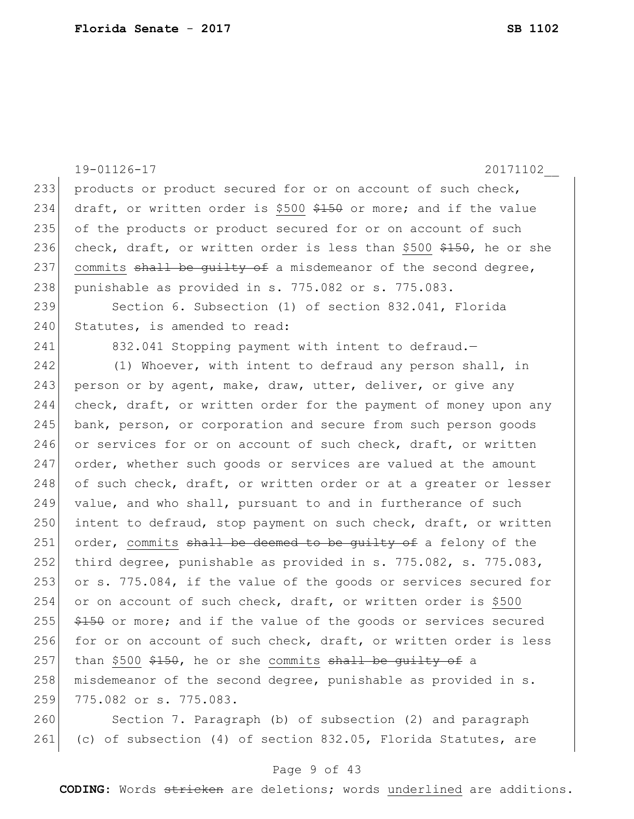|     | 19-01126-17<br>20171102                                                          |
|-----|----------------------------------------------------------------------------------|
| 233 | products or product secured for or on account of such check,                     |
| 234 | draft, or written order is \$500 \$150 or more; and if the value                 |
| 235 | of the products or product secured for or on account of such                     |
| 236 | check, draft, or written order is less than \$500 $\frac{2150}{100}$ , he or she |
| 237 | commits shall be quilty of a misdemeanor of the second degree,                   |
| 238 | punishable as provided in s. 775.082 or s. 775.083.                              |
| 239 | Section 6. Subsection (1) of section 832.041, Florida                            |
| 240 | Statutes, is amended to read:                                                    |
| 241 | 832.041 Stopping payment with intent to defraud.-                                |
| 242 | (1) Whoever, with intent to defraud any person shall, in                         |
| 243 | person or by agent, make, draw, utter, deliver, or give any                      |
| 244 | check, draft, or written order for the payment of money upon any                 |
| 245 | bank, person, or corporation and secure from such person goods                   |
| 246 | or services for or on account of such check, draft, or written                   |
| 247 | order, whether such goods or services are valued at the amount                   |
| 248 | of such check, draft, or written order or at a greater or lesser                 |
| 249 | value, and who shall, pursuant to and in furtherance of such                     |
| 250 | intent to defraud, stop payment on such check, draft, or written                 |
| 251 | order, commits shall be deemed to be guilty of a felony of the                   |
| 252 | third degree, punishable as provided in s. 775.082, s. 775.083,                  |
| 253 | or s. 775.084, if the value of the goods or services secured for                 |
| 254 | or on account of such check, draft, or written order is \$500                    |
| 255 | \$150 or more; and if the value of the goods or services secured                 |
| 256 | for or on account of such check, draft, or written order is less                 |
| 257 | than \$500 \$150, he or she commits shall be guilty of a                         |
| 258 | misdemeanor of the second degree, punishable as provided in s.                   |
| 259 | 775.082 or s. 775.083.                                                           |
| 260 | Section 7. Paragraph (b) of subsection (2) and paragraph                         |
| 261 | (c) of subsection (4) of section 832.05, Florida Statutes, are                   |

# Page 9 of 43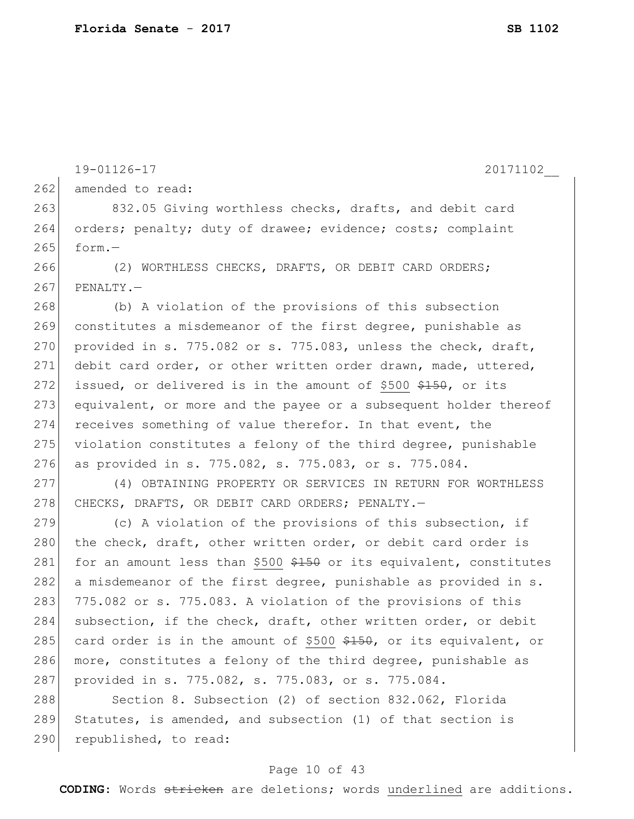262 amended to read:

290 republished, to read:

```
263 832.05 Giving worthless checks, drafts, and debit card
264 orders; penalty; duty of drawee; evidence; costs; complaint
265 form.
266 (2) WORTHLESS CHECKS, DRAFTS, OR DEBIT CARD ORDERS;
267 PENALTY. -268 (b) A violation of the provisions of this subsection
269 constitutes a misdemeanor of the first degree, punishable as 
270 provided in s. 775.082 or s. 775.083, unless the check, draft,
271 debit card order, or other written order drawn, made, uttered, 
272 issued, or delivered is in the amount of $500 $150, or its
273 equivalent, or more and the payee or a subsequent holder thereof
274 receives something of value therefor. In that event, the
275 violation constitutes a felony of the third degree, punishable
276 as provided in s. 775.082, s. 775.083, or s. 775.084.
277 (4) OBTAINING PROPERTY OR SERVICES IN RETURN FOR WORTHLESS 
278 CHECKS, DRAFTS, OR DEBIT CARD ORDERS; PENALTY.-
279 \vert (c) A violation of the provisions of this subsection, if
280 the check, draft, other written order, or debit card order is
281 for an amount less than $500 $150 or its equivalent, constitutes
282 a misdemeanor of the first degree, punishable as provided in s.
283 775.082 or s. 775.083. A violation of the provisions of this
284 subsection, if the check, draft, other written order, or debit
285 card order is in the amount of $500 $150, or its equivalent, or
286 more, constitutes a felony of the third degree, punishable as
287 provided in s. 775.082, s. 775.083, or s. 775.084.
288 Section 8. Subsection (2) of section 832.062, Florida
289 Statutes, is amended, and subsection (1) of that section is
```
19-01126-17 20171102\_\_

#### Page 10 of 43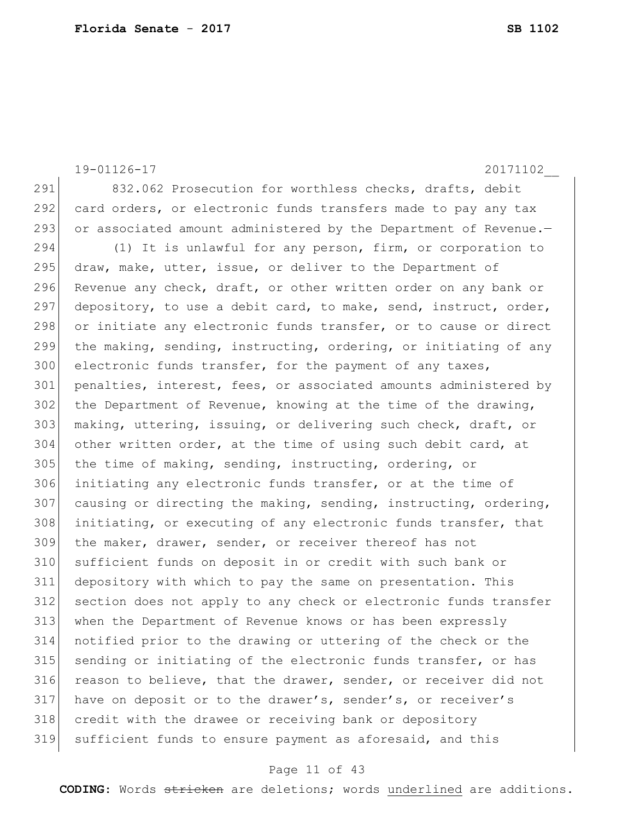19-01126-17 20171102\_\_ 291 832.062 Prosecution for worthless checks, drafts, debit 292 card orders, or electronic funds transfers made to pay any tax 293 or associated amount administered by the Department of Revenue.-294 (1) It is unlawful for any person, firm, or corporation to 295 draw, make, utter, issue, or deliver to the Department of 296 Revenue any check, draft, or other written order on any bank or 297 depository, to use a debit card, to make, send, instruct, order, 298 or initiate any electronic funds transfer, or to cause or direct 299 the making, sending, instructing, ordering, or initiating of any 300 electronic funds transfer, for the payment of any taxes, 301 penalties, interest, fees, or associated amounts administered by 302 the Department of Revenue, knowing at the time of the drawing, 303 making, uttering, issuing, or delivering such check, draft, or 304 other written order, at the time of using such debit card, at  $305$  the time of making, sending, instructing, ordering, or 306 initiating any electronic funds transfer, or at the time of 307 causing or directing the making, sending, instructing, ordering, 308 initiating, or executing of any electronic funds transfer, that 309 the maker, drawer, sender, or receiver thereof has not 310 sufficient funds on deposit in or credit with such bank or 311 depository with which to pay the same on presentation. This 312 section does not apply to any check or electronic funds transfer 313 when the Department of Revenue knows or has been expressly 314 notified prior to the drawing or uttering of the check or the 315 sending or initiating of the electronic funds transfer, or has 316 reason to believe, that the drawer, sender, or receiver did not 317 have on deposit or to the drawer's, sender's, or receiver's 318 credit with the drawee or receiving bank or depository 319 sufficient funds to ensure payment as aforesaid, and this

#### Page 11 of 43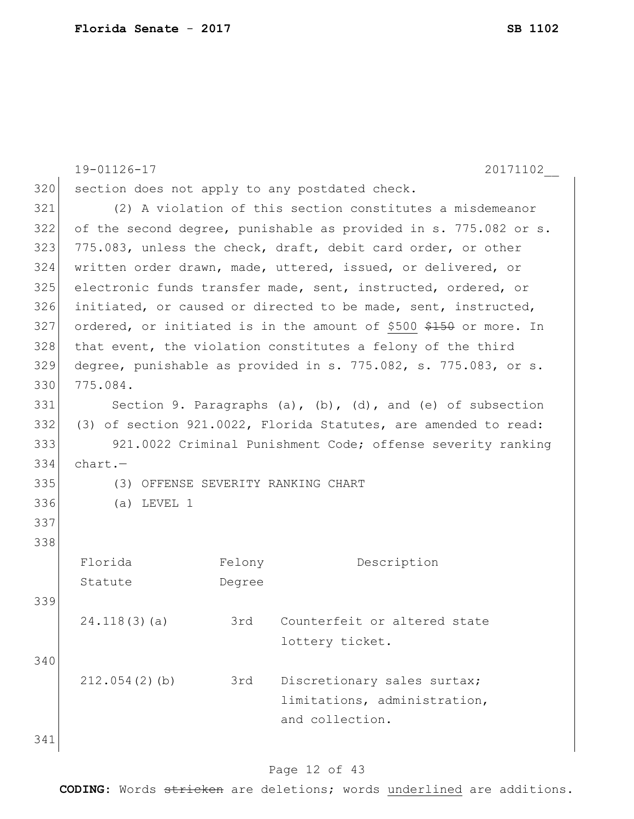|     | 19-01126-17                                               |        | 20171102                                                          |  |  |  |
|-----|-----------------------------------------------------------|--------|-------------------------------------------------------------------|--|--|--|
| 320 | section does not apply to any postdated check.            |        |                                                                   |  |  |  |
| 321 | (2) A violation of this section constitutes a misdemeanor |        |                                                                   |  |  |  |
| 322 |                                                           |        | of the second degree, punishable as provided in s. 775.082 or s.  |  |  |  |
| 323 |                                                           |        | 775.083, unless the check, draft, debit card order, or other      |  |  |  |
| 324 |                                                           |        | written order drawn, made, uttered, issued, or delivered, or      |  |  |  |
| 325 |                                                           |        | electronic funds transfer made, sent, instructed, ordered, or     |  |  |  |
| 326 |                                                           |        | initiated, or caused or directed to be made, sent, instructed,    |  |  |  |
| 327 |                                                           |        | ordered, or initiated is in the amount of \$500 \$150 or more. In |  |  |  |
| 328 |                                                           |        | that event, the violation constitutes a felony of the third       |  |  |  |
| 329 |                                                           |        | degree, punishable as provided in s. 775.082, s. 775.083, or s.   |  |  |  |
| 330 | 775.084.                                                  |        |                                                                   |  |  |  |
| 331 |                                                           |        | Section 9. Paragraphs (a), (b), (d), and (e) of subsection        |  |  |  |
| 332 |                                                           |        | (3) of section 921.0022, Florida Statutes, are amended to read:   |  |  |  |
| 333 |                                                           |        | 921.0022 Criminal Punishment Code; offense severity ranking       |  |  |  |
| 334 | $chart. -$                                                |        |                                                                   |  |  |  |
| 335 | (3) OFFENSE SEVERITY RANKING CHART                        |        |                                                                   |  |  |  |
| 336 | $(a)$ LEVEL 1                                             |        |                                                                   |  |  |  |
| 337 |                                                           |        |                                                                   |  |  |  |
| 338 |                                                           |        |                                                                   |  |  |  |
|     | Florida                                                   | Felony | Description                                                       |  |  |  |
|     | Statute                                                   | Degree |                                                                   |  |  |  |
| 339 |                                                           |        |                                                                   |  |  |  |
|     | 24.118(3)(a)                                              | 3rd    | Counterfeit or altered state                                      |  |  |  |
|     |                                                           |        | lottery ticket.                                                   |  |  |  |
| 340 |                                                           |        |                                                                   |  |  |  |
|     | 212.054(2)(b)                                             | 3rd    | Discretionary sales surtax;                                       |  |  |  |
|     |                                                           |        | limitations, administration,                                      |  |  |  |
|     |                                                           |        | and collection.                                                   |  |  |  |
| 341 |                                                           |        |                                                                   |  |  |  |
|     |                                                           |        |                                                                   |  |  |  |

# Page 12 of 43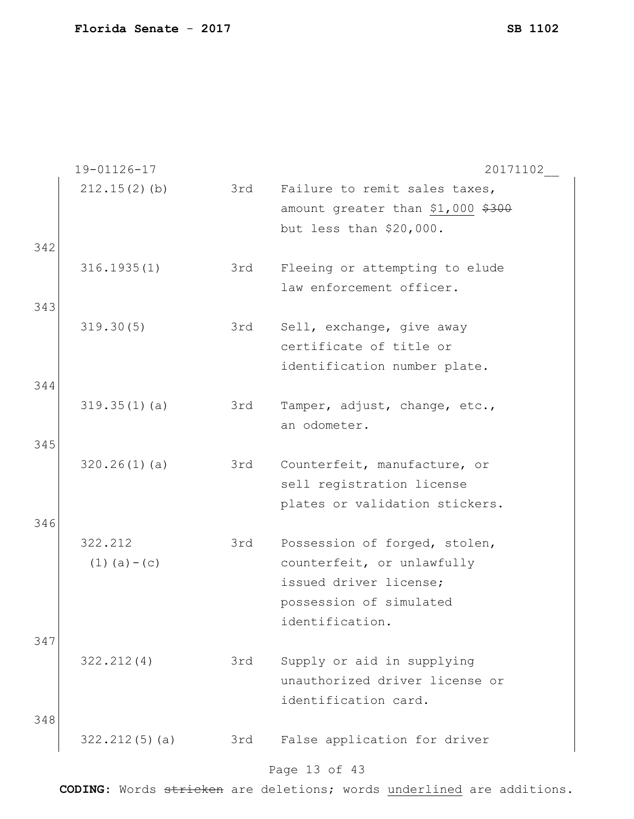|     | 19-01126-17       |     | 20171102                          |
|-----|-------------------|-----|-----------------------------------|
|     | $212.15(2)$ (b)   | 3rd | Failure to remit sales taxes,     |
|     |                   |     | amount greater than \$1,000 \$300 |
|     |                   |     | but less than \$20,000.           |
| 342 |                   |     |                                   |
|     | 316.1935(1)       | 3rd | Fleeing or attempting to elude    |
|     |                   |     | law enforcement officer.          |
| 343 |                   |     |                                   |
|     | 319.30(5)         | 3rd | Sell, exchange, give away         |
|     |                   |     | certificate of title or           |
|     |                   |     | identification number plate.      |
| 344 |                   |     |                                   |
|     |                   |     |                                   |
|     | 319.35(1)(a)      | 3rd | Tamper, adjust, change, etc.,     |
|     |                   |     | an odometer.                      |
| 345 |                   |     |                                   |
|     | 320.26(1)(a)      | 3rd | Counterfeit, manufacture, or      |
|     |                   |     | sell registration license         |
|     |                   |     | plates or validation stickers.    |
| 346 |                   |     |                                   |
|     | 322.212           | 3rd | Possession of forged, stolen,     |
|     | $(1)$ $(a) - (c)$ |     | counterfeit, or unlawfully        |
|     |                   |     | issued driver license;            |
|     |                   |     |                                   |
|     |                   |     | possession of simulated           |
|     |                   |     | identification.                   |
| 347 |                   |     |                                   |
|     | 322.212(4)        | 3rd | Supply or aid in supplying        |
|     |                   |     | unauthorized driver license or    |
|     |                   |     | identification card.              |
| 348 |                   |     |                                   |
|     | 322.212(5)(a)     | 3rd | False application for driver      |
|     |                   |     |                                   |
|     |                   |     |                                   |

#### Page 13 of 43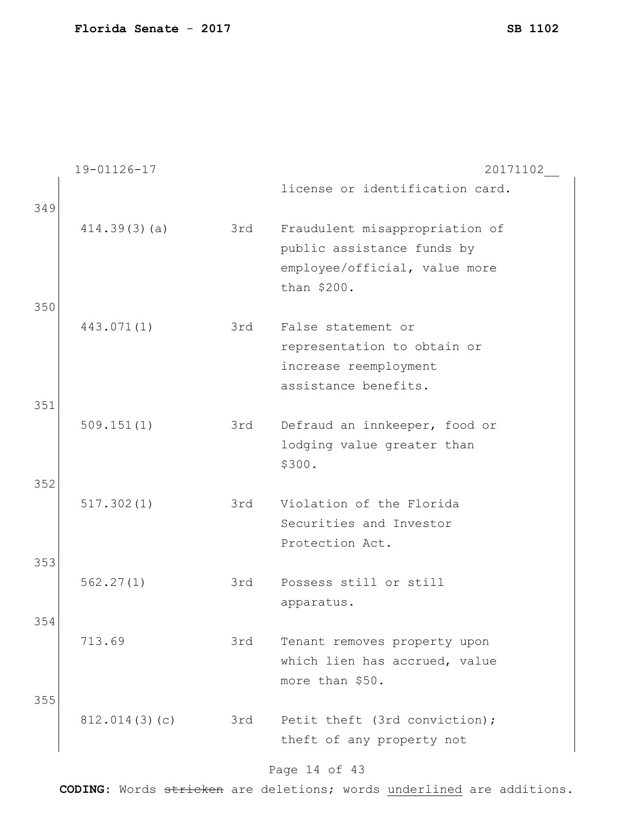|     | 19-01126-17   |     | 20171102                        |
|-----|---------------|-----|---------------------------------|
| 349 |               |     | license or identification card. |
|     | 414.39(3)(a)  | 3rd | Fraudulent misappropriation of  |
|     |               |     | public assistance funds by      |
|     |               |     | employee/official, value more   |
|     |               |     | than \$200.                     |
| 350 |               |     |                                 |
|     | 443.071(1)    | 3rd | False statement or              |
|     |               |     | representation to obtain or     |
|     |               |     | increase reemployment           |
|     |               |     | assistance benefits.            |
| 351 |               |     |                                 |
|     | 509.151(1)    | 3rd | Defraud an innkeeper, food or   |
|     |               |     | lodging value greater than      |
|     |               |     | \$300.                          |
| 352 |               |     |                                 |
|     | 517.302(1)    | 3rd | Violation of the Florida        |
|     |               |     | Securities and Investor         |
|     |               |     | Protection Act.                 |
| 353 |               |     |                                 |
|     | 562.27(1)     | 3rd | Possess still or still          |
|     |               |     | apparatus.                      |
| 354 |               |     |                                 |
|     | 713.69        | 3rd | Tenant removes property upon    |
|     |               |     | which lien has accrued, value   |
|     |               |     | more than \$50.                 |
| 355 |               |     |                                 |
|     | 812.014(3)(c) | 3rd | Petit theft (3rd conviction);   |
|     |               |     | theft of any property not       |
|     |               |     |                                 |

# Page 14 of 43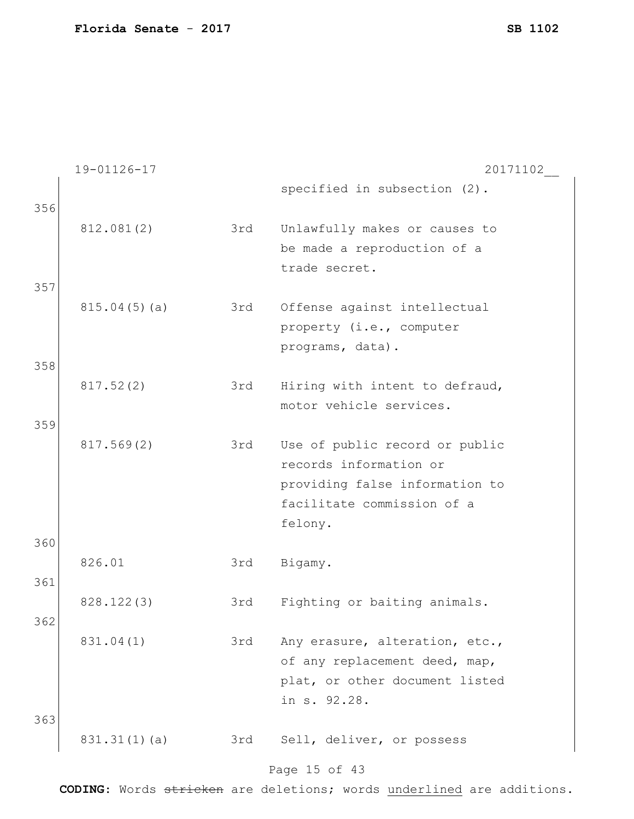|     | 19-01126-17  |     | 20171102                       |
|-----|--------------|-----|--------------------------------|
| 356 |              |     | specified in subsection (2).   |
|     | 812.081(2)   | 3rd | Unlawfully makes or causes to  |
|     |              |     | be made a reproduction of a    |
|     |              |     | trade secret.                  |
| 357 |              |     |                                |
|     | 815.04(5)(a) | 3rd | Offense against intellectual   |
|     |              |     | property (i.e., computer       |
|     |              |     | programs, data).               |
| 358 |              |     |                                |
|     | 817.52(2)    | 3rd | Hiring with intent to defraud, |
|     |              |     | motor vehicle services.        |
| 359 |              |     |                                |
|     | 817.569(2)   | 3rd | Use of public record or public |
|     |              |     | records information or         |
|     |              |     | providing false information to |
|     |              |     | facilitate commission of a     |
|     |              |     | felony.                        |
| 360 |              |     |                                |
|     | 826.01       | 3rd | Bigamy.                        |
| 361 |              |     |                                |
|     | 828.122(3)   | 3rd | Fighting or baiting animals.   |
| 362 |              |     |                                |
|     | 831.04(1)    | 3rd | Any erasure, alteration, etc., |
|     |              |     | of any replacement deed, map,  |
|     |              |     | plat, or other document listed |
|     |              |     | in s. 92.28.                   |
| 363 |              |     |                                |
|     | 831.31(1)(a) | 3rd | Sell, deliver, or possess      |
|     |              |     | Page 15 of 43                  |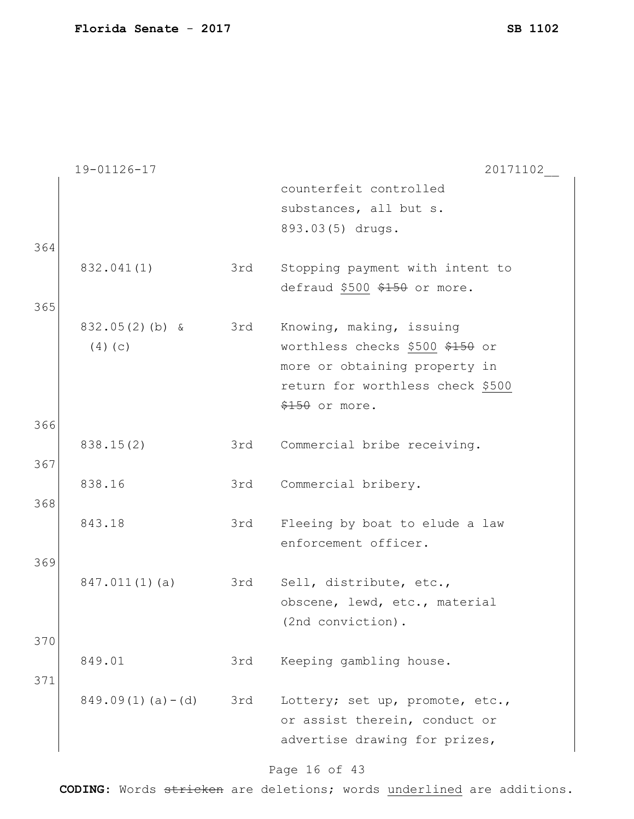|     | 19-01126-17          |     | 20171102                         |
|-----|----------------------|-----|----------------------------------|
|     |                      |     | counterfeit controlled           |
|     |                      |     | substances, all but s.           |
|     |                      |     | 893.03(5) drugs.                 |
| 364 |                      |     |                                  |
|     | 832.041(1)           | 3rd | Stopping payment with intent to  |
|     |                      |     | defraud \$500 \$150 or more.     |
| 365 |                      |     |                                  |
|     | $832.05(2)$ (b) &    | 3rd | Knowing, making, issuing         |
|     | (4)(c)               |     | worthless checks \$500 \$150 or  |
|     |                      |     | more or obtaining property in    |
|     |                      |     | return for worthless check \$500 |
|     |                      |     | $$150$ or more.                  |
| 366 |                      |     |                                  |
|     | 838.15(2)            | 3rd | Commercial bribe receiving.      |
| 367 |                      |     |                                  |
|     | 838.16               | 3rd | Commercial bribery.              |
| 368 |                      |     |                                  |
|     | 843.18               | 3rd | Fleeing by boat to elude a law   |
|     |                      |     | enforcement officer.             |
| 369 |                      |     |                                  |
|     | 847.011(1)(a)        | 3rd | Sell, distribute, etc.,          |
|     |                      |     | obscene, lewd, etc., material    |
|     |                      |     | (2nd conviction).                |
| 370 |                      |     |                                  |
|     | 849.01               | 3rd | Keeping gambling house.          |
| 371 |                      |     |                                  |
|     | $849.09(1)(a) - (d)$ | 3rd | Lottery; set up, promote, etc.,  |
|     |                      |     | or assist therein, conduct or    |
|     |                      |     | advertise drawing for prizes,    |

# Page 16 of 43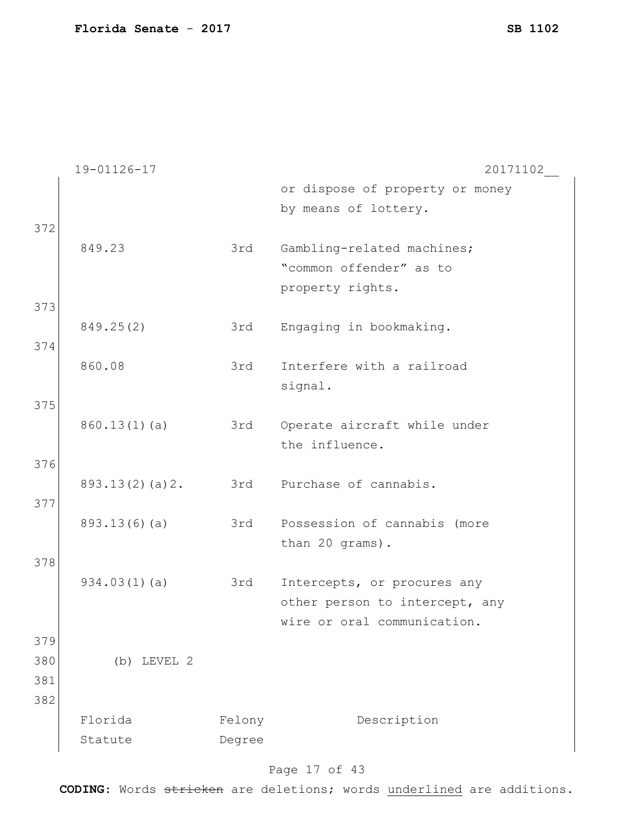|     | 19-01126-17    |                  | 20171102                        |
|-----|----------------|------------------|---------------------------------|
|     |                |                  | or dispose of property or money |
|     |                |                  | by means of lottery.            |
| 372 |                |                  |                                 |
|     | 849.23         | 3rd              | Gambling-related machines;      |
|     |                |                  | "common offender" as to         |
|     |                |                  | property rights.                |
| 373 |                |                  |                                 |
|     | 849.25(2)      | 3rd              | Engaging in bookmaking.         |
| 374 |                |                  |                                 |
|     | 860.08         | 3rd              | Interfere with a railroad       |
|     |                |                  | signal.                         |
| 375 |                |                  |                                 |
|     | 860.13(1)(a)   | 3rd              | Operate aircraft while under    |
|     |                |                  | the influence.                  |
| 376 |                |                  |                                 |
|     | 893.13(2)(a)2. | 3rd              | Purchase of cannabis.           |
| 377 |                |                  |                                 |
|     | 893.13(6)(a)   | 3rd              | Possession of cannabis (more    |
|     |                |                  | than 20 grams).                 |
| 378 |                |                  |                                 |
|     | 934.03(1)(a)   | 3rd              | Intercepts, or procures any     |
|     |                |                  | other person to intercept, any  |
|     |                |                  | wire or oral communication.     |
| 379 |                |                  |                                 |
| 380 | $(b)$ LEVEL 2  |                  |                                 |
| 381 |                |                  |                                 |
| 382 |                |                  |                                 |
|     | Florida        |                  | Description                     |
|     | Statute        | Felony<br>Degree |                                 |
|     |                |                  |                                 |

# Page 17 of 43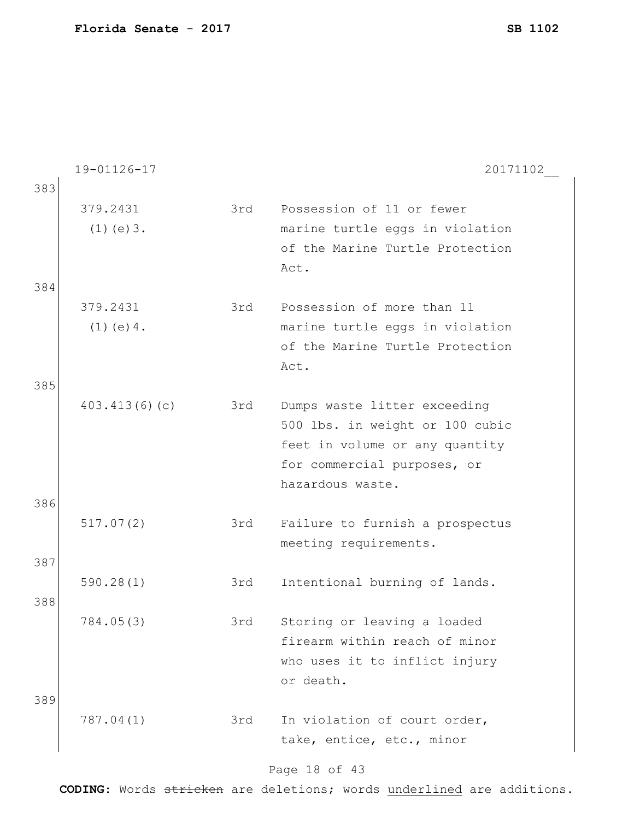|     | 19-01126-17     |     | 20171102                        |
|-----|-----------------|-----|---------------------------------|
| 383 |                 |     |                                 |
|     | 379.2431        | 3rd | Possession of 11 or fewer       |
|     | $(1)$ (e) $3$ . |     | marine turtle eggs in violation |
|     |                 |     | of the Marine Turtle Protection |
|     |                 |     | Act.                            |
| 384 |                 |     |                                 |
|     | 379.2431        | 3rd | Possession of more than 11      |
|     | $(1)$ (e) 4.    |     | marine turtle eggs in violation |
|     |                 |     | of the Marine Turtle Protection |
|     |                 |     | Act.                            |
| 385 |                 |     |                                 |
|     | 403.413(6)(c)   | 3rd | Dumps waste litter exceeding    |
|     |                 |     | 500 lbs. in weight or 100 cubic |
|     |                 |     | feet in volume or any quantity  |
|     |                 |     | for commercial purposes, or     |
|     |                 |     | hazardous waste.                |
| 386 |                 |     |                                 |
|     | 517.07(2)       | 3rd | Failure to furnish a prospectus |
|     |                 |     | meeting requirements.           |
| 387 |                 |     |                                 |
|     | 590.28(1)       | 3rd | Intentional burning of lands.   |
| 388 |                 |     |                                 |
|     | 784.05(3)       | 3rd | Storing or leaving a loaded     |
|     |                 |     | firearm within reach of minor   |
|     |                 |     | who uses it to inflict injury   |
|     |                 |     | or death.                       |
| 389 |                 |     |                                 |
|     | 787.04(1)       | 3rd | In violation of court order,    |
|     |                 |     | take, entice, etc., minor       |
|     |                 |     |                                 |

#### Page 18 of 43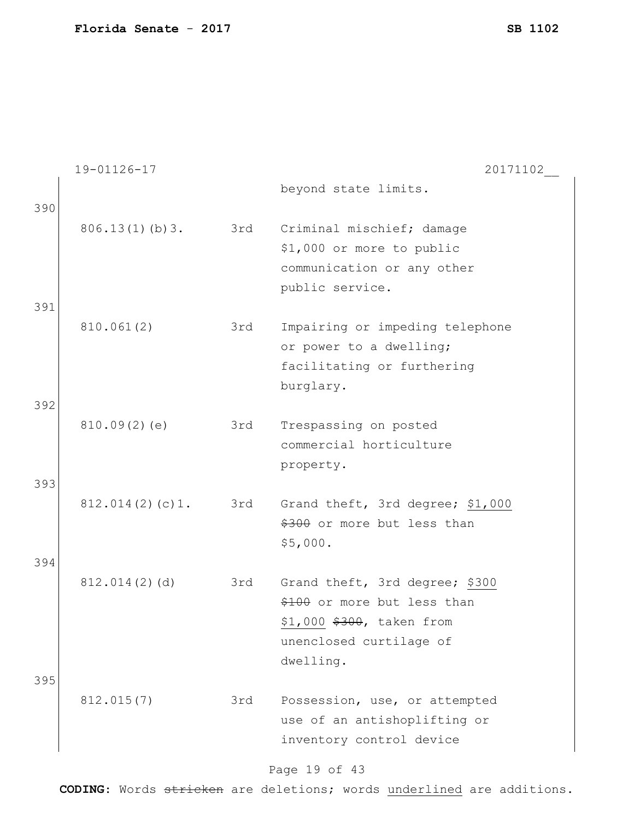|     | 19-01126-17     |     | 20171102                         |
|-----|-----------------|-----|----------------------------------|
| 390 |                 |     | beyond state limits.             |
|     | 806.13(1)(b)3.  | 3rd | Criminal mischief; damage        |
|     |                 |     | \$1,000 or more to public        |
|     |                 |     | communication or any other       |
|     |                 |     | public service.                  |
| 391 |                 |     |                                  |
|     | 810.061(2)      | 3rd | Impairing or impeding telephone  |
|     |                 |     | or power to a dwelling;          |
|     |                 |     | facilitating or furthering       |
|     |                 |     | burglary.                        |
| 392 |                 |     |                                  |
|     | 810.09(2)(e)    | 3rd | Trespassing on posted            |
|     |                 |     | commercial horticulture          |
|     |                 |     | property.                        |
| 393 |                 |     |                                  |
|     | 812.014(2)(c)1. | 3rd | Grand theft, 3rd degree; \$1,000 |
|     |                 |     | \$300 or more but less than      |
|     |                 |     | \$5,000.                         |
| 394 |                 |     |                                  |
|     | 812.014(2)(d)   | 3rd | Grand theft, 3rd degree; \$300   |
|     |                 |     | \$100 or more but less than      |
|     |                 |     | \$1,000 \$300, taken from        |
|     |                 |     | unenclosed curtilage of          |
|     |                 |     | dwelling.                        |
| 395 |                 |     |                                  |
|     | 812.015(7)      | 3rd | Possession, use, or attempted    |
|     |                 |     | use of an antishoplifting or     |
|     |                 |     | inventory control device         |
|     |                 |     |                                  |

# Page 19 of 43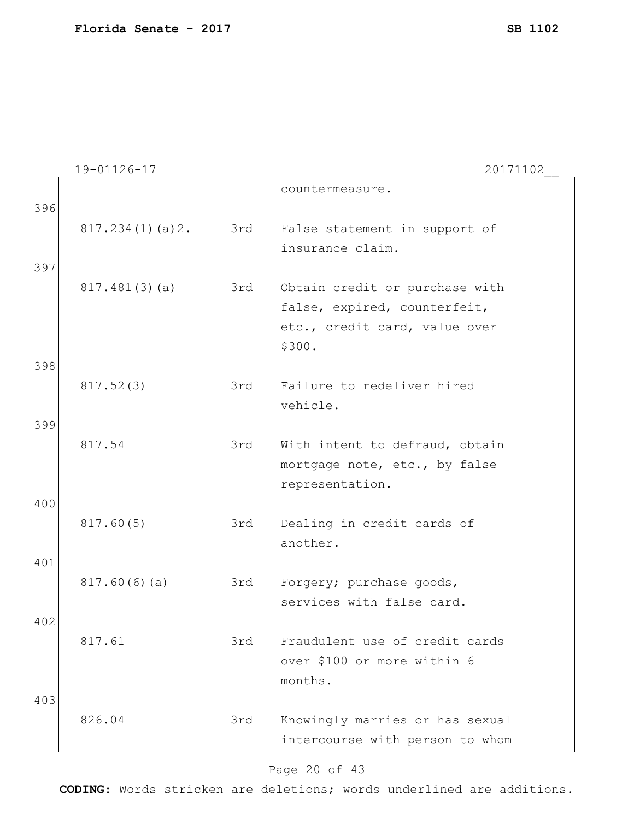|     | 19-01126-17     |     | 20171102                                                                                                  |
|-----|-----------------|-----|-----------------------------------------------------------------------------------------------------------|
| 396 |                 |     | countermeasure.                                                                                           |
| 397 | 817.234(1)(a)2. | 3rd | False statement in support of<br>insurance claim.                                                         |
|     | 817.481(3)(a)   | 3rd | Obtain credit or purchase with<br>false, expired, counterfeit,<br>etc., credit card, value over<br>\$300. |
| 398 |                 |     |                                                                                                           |
|     | 817.52(3)       | 3rd | Failure to redeliver hired<br>vehicle.                                                                    |
| 399 | 817.54          | 3rd | With intent to defraud, obtain<br>mortgage note, etc., by false<br>representation.                        |
| 400 |                 |     |                                                                                                           |
|     | 817.60(5)       | 3rd | Dealing in credit cards of<br>another.                                                                    |
| 401 |                 |     |                                                                                                           |
|     | 817.60(6)(a)    | 3rd | Forgery; purchase goods,<br>services with false card.                                                     |
| 402 | 817.61          | 3rd | Fraudulent use of credit cards<br>over \$100 or more within 6<br>months.                                  |
| 403 | 826.04          | 3rd | Knowingly marries or has sexual<br>intercourse with person to whom                                        |

# Page 20 of 43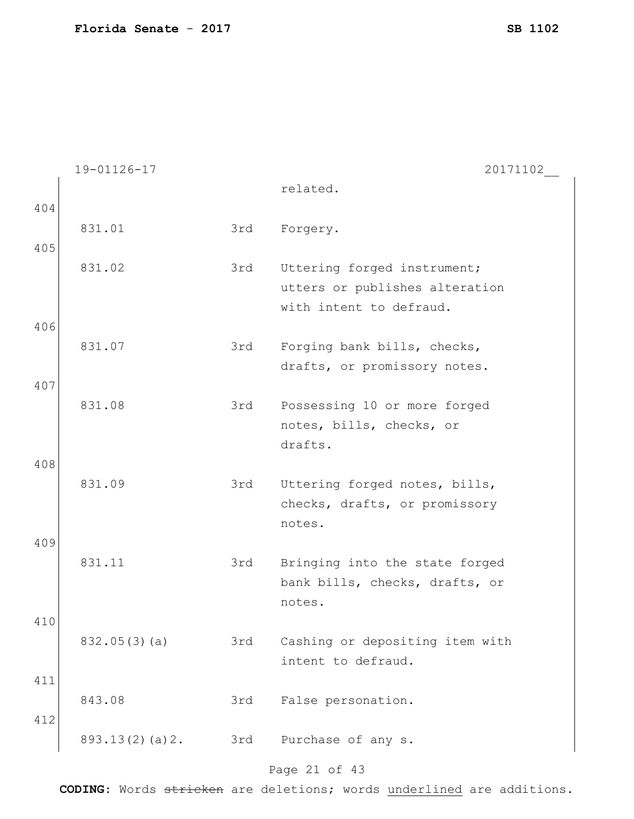|            | 19-01126-17    |     | 20171102                                                                                 |
|------------|----------------|-----|------------------------------------------------------------------------------------------|
|            |                |     | related.                                                                                 |
| 404        |                |     |                                                                                          |
| 405        | 831.01         | 3rd | Forgery.                                                                                 |
|            | 831.02         | 3rd | Uttering forged instrument;<br>utters or publishes alteration<br>with intent to defraud. |
| 406        |                |     |                                                                                          |
|            | 831.07         | 3rd | Forging bank bills, checks,<br>drafts, or promissory notes.                              |
| 407        |                |     |                                                                                          |
|            | 831.08         | 3rd | Possessing 10 or more forged<br>notes, bills, checks, or<br>drafts.                      |
| 408        |                |     |                                                                                          |
|            | 831.09         | 3rd | Uttering forged notes, bills,<br>checks, drafts, or promissory<br>notes.                 |
| 409        | 831.11         | 3rd | Bringing into the state forged<br>bank bills, checks, drafts, or<br>notes.               |
| 410        | 832.05(3)(a)   | 3rd | Cashing or depositing item with<br>intent to defraud.                                    |
| 411<br>412 | 843.08         | 3rd | False personation.                                                                       |
|            | 893.13(2)(a)2. | 3rd | Purchase of any s.                                                                       |

# Page 21 of 43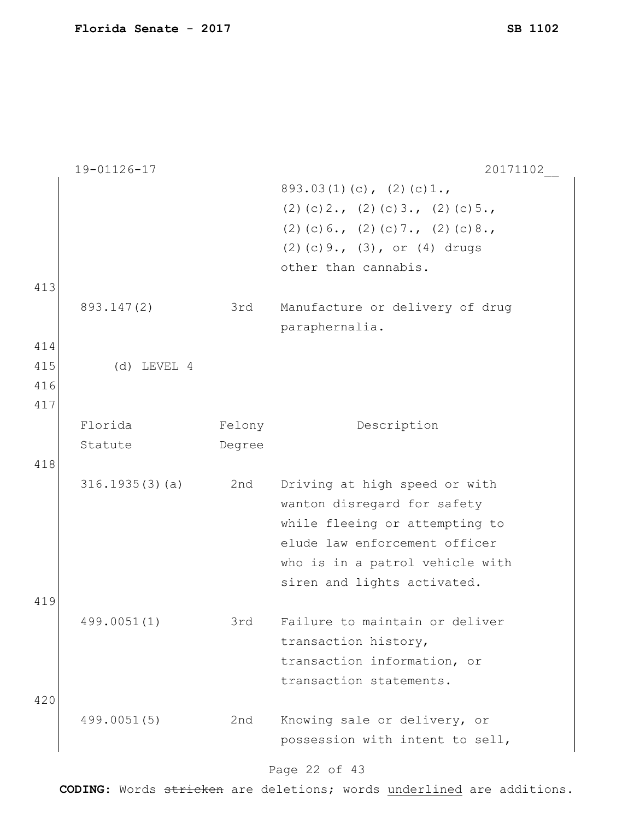|     | 19-01126-17    |        | 20171102                                                                                                                                                                                          |
|-----|----------------|--------|---------------------------------------------------------------------------------------------------------------------------------------------------------------------------------------------------|
|     |                |        | $893.03(1)(c)$ , $(2)(c)1.$                                                                                                                                                                       |
|     |                |        | $(2)$ (c) 2., (2) (c) 3., (2) (c) 5.,                                                                                                                                                             |
|     |                |        | $(2)$ (c) 6., (2) (c) 7., (2) (c) 8.,                                                                                                                                                             |
|     |                |        | $(2)$ (c) 9., $(3)$ , or $(4)$ drugs                                                                                                                                                              |
|     |                |        |                                                                                                                                                                                                   |
|     |                |        | other than cannabis.                                                                                                                                                                              |
| 413 |                |        |                                                                                                                                                                                                   |
|     | 893.147(2)     | 3rd    | Manufacture or delivery of drug                                                                                                                                                                   |
|     |                |        | paraphernalia.                                                                                                                                                                                    |
| 414 |                |        |                                                                                                                                                                                                   |
| 415 | $(d)$ LEVEL 4  |        |                                                                                                                                                                                                   |
| 416 |                |        |                                                                                                                                                                                                   |
| 417 |                |        |                                                                                                                                                                                                   |
|     | Florida        | Felony | Description                                                                                                                                                                                       |
|     | Statute        | Degree |                                                                                                                                                                                                   |
| 418 |                |        |                                                                                                                                                                                                   |
|     | 316.1935(3)(a) | 2nd    | Driving at high speed or with<br>wanton disregard for safety<br>while fleeing or attempting to<br>elude law enforcement officer<br>who is in a patrol vehicle with<br>siren and lights activated. |
| 419 |                |        |                                                                                                                                                                                                   |
|     | 499.0051(1)    | 3rd    | Failure to maintain or deliver<br>transaction history,<br>transaction information, or<br>transaction statements.                                                                                  |
| 420 |                |        |                                                                                                                                                                                                   |
|     | 499.0051(5)    | 2nd    | Knowing sale or delivery, or                                                                                                                                                                      |
|     |                |        | possession with intent to sell,                                                                                                                                                                   |
|     |                |        | Page 22 of 43                                                                                                                                                                                     |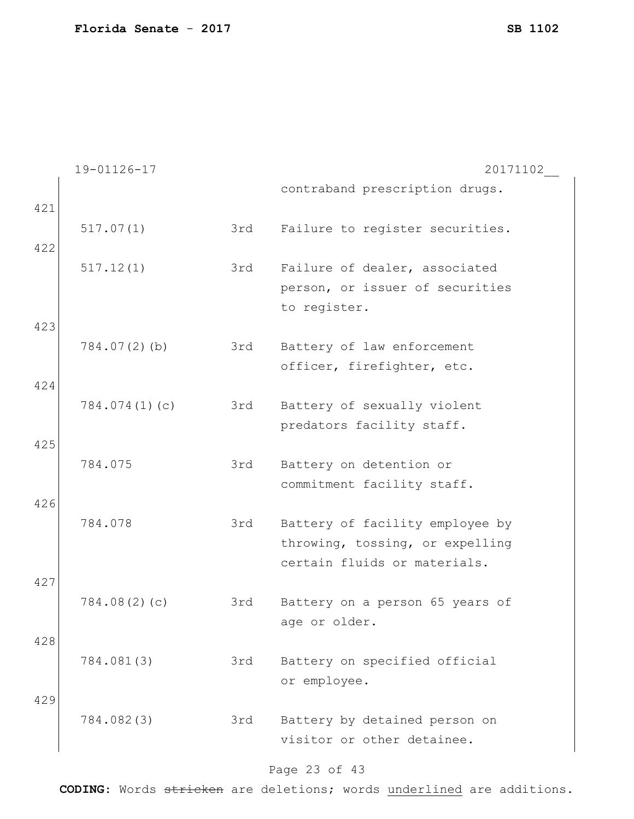|     | 19-01126-17     |     | 20171102                        |
|-----|-----------------|-----|---------------------------------|
|     |                 |     | contraband prescription drugs.  |
| 421 |                 |     |                                 |
|     | 517.07(1)       | 3rd | Failure to register securities. |
| 422 |                 |     |                                 |
|     | 517.12(1)       | 3rd | Failure of dealer, associated   |
|     |                 |     | person, or issuer of securities |
|     |                 |     | to register.                    |
| 423 |                 |     |                                 |
|     | $784.07(2)$ (b) | 3rd | Battery of law enforcement      |
|     |                 |     | officer, firefighter, etc.      |
| 424 |                 |     |                                 |
|     |                 |     |                                 |
|     | 784.074(1)(c)   | 3rd | Battery of sexually violent     |
|     |                 |     | predators facility staff.       |
| 425 |                 |     |                                 |
|     | 784.075         | 3rd | Battery on detention or         |
|     |                 |     | commitment facility staff.      |
| 426 |                 |     |                                 |
|     | 784.078         | 3rd | Battery of facility employee by |
|     |                 |     | throwing, tossing, or expelling |
|     |                 |     | certain fluids or materials.    |
| 427 |                 |     |                                 |
|     | 784.08(2)(c)    | 3rd | Battery on a person 65 years of |
|     |                 |     | age or older.                   |
| 428 |                 |     |                                 |
|     | 784.081(3)      | 3rd | Battery on specified official   |
|     |                 |     | or employee.                    |
| 429 |                 |     |                                 |
|     | 784.082(3)      | 3rd | Battery by detained person on   |
|     |                 |     | visitor or other detainee.      |
|     |                 |     |                                 |
|     |                 |     | Page 23 of 43                   |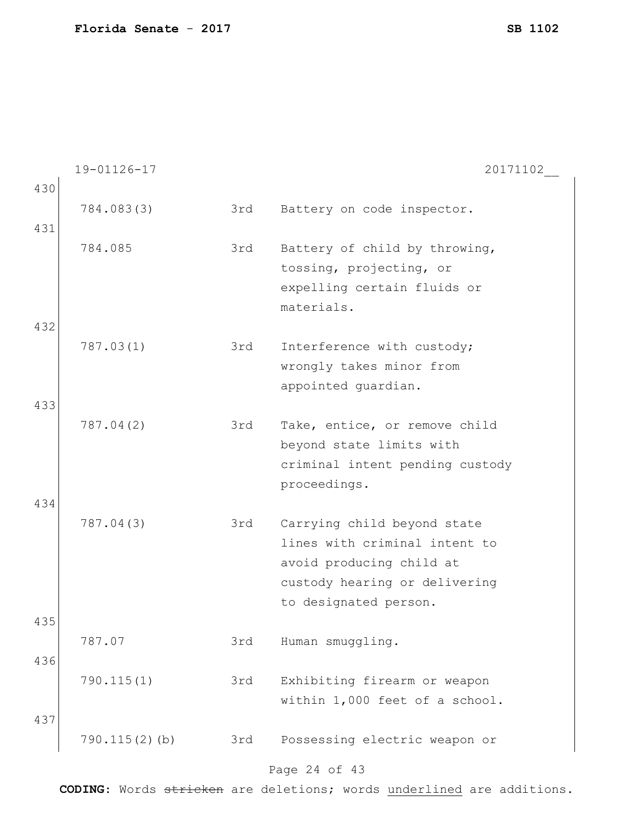19-01126-17 20171102\_\_ Page 24 of 43 430 784.083(3) 3rd Battery on code inspector. 431 784.085 3rd Battery of child by throwing, tossing, projecting, or expelling certain fluids or materials. 432 787.03(1) 3rd Interference with custody; wrongly takes minor from appointed guardian. 433 787.04(2) 3rd Take, entice, or remove child beyond state limits with criminal intent pending custody proceedings. 434 787.04(3) 3rd Carrying child beyond state lines with criminal intent to avoid producing child at custody hearing or delivering to designated person. 435 787.07 3rd Human smuggling. 436 790.115(1) 3rd Exhibiting firearm or weapon within 1,000 feet of a school. 437 790.115(2)(b) 3rd Possessing electric weapon or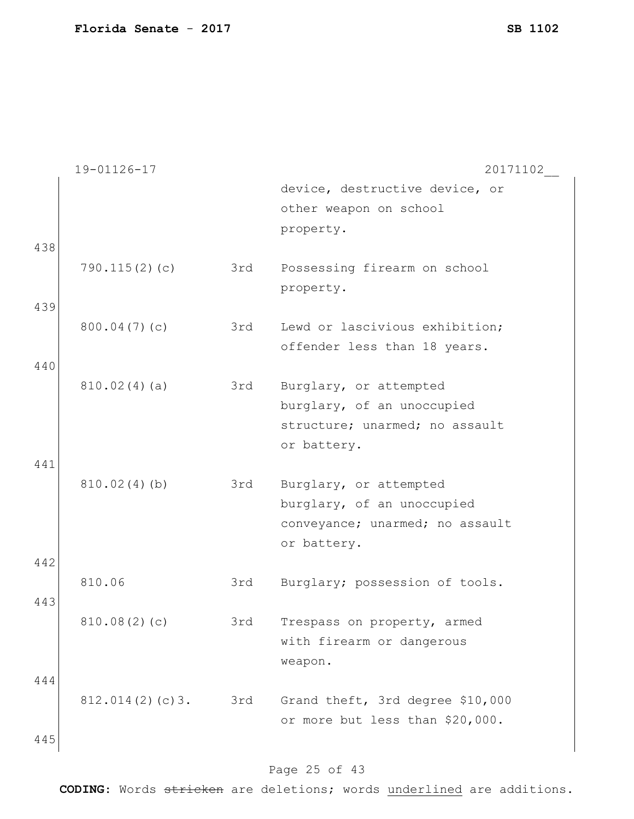|     | 19-01126-17     |     | 20171102                                                 |
|-----|-----------------|-----|----------------------------------------------------------|
|     |                 |     | device, destructive device, or<br>other weapon on school |
|     |                 |     |                                                          |
|     |                 |     | property.                                                |
| 438 |                 |     |                                                          |
|     | 790.115(2)(c)   | 3rd | Possessing firearm on school                             |
|     |                 |     | property.                                                |
| 439 |                 |     |                                                          |
|     | 800.04(7)(c)    | 3rd | Lewd or lascivious exhibition;                           |
|     |                 |     | offender less than 18 years.                             |
|     |                 |     |                                                          |
| 440 |                 |     |                                                          |
|     | 810.02(4)(a)    | 3rd | Burglary, or attempted                                   |
|     |                 |     | burglary, of an unoccupied                               |
|     |                 |     | structure; unarmed; no assault                           |
|     |                 |     | or battery.                                              |
| 441 |                 |     |                                                          |
|     | 810.02(4)(b)    | 3rd | Burglary, or attempted                                   |
|     |                 |     | burglary, of an unoccupied                               |
|     |                 |     |                                                          |
|     |                 |     | conveyance; unarmed; no assault                          |
|     |                 |     | or battery.                                              |
| 442 |                 |     |                                                          |
|     | 810.06          | 3rd | Burglary; possession of tools.                           |
| 443 |                 |     |                                                          |
|     | 810.08(2)(c)    | 3rd | Trespass on property, armed                              |
|     |                 |     | with firearm or dangerous                                |
|     |                 |     | weapon.                                                  |
|     |                 |     |                                                          |
| 444 |                 |     |                                                          |
|     | 812.014(2)(c)3. | 3rd | Grand theft, 3rd degree \$10,000                         |
|     |                 |     | or more but less than \$20,000.                          |
| 445 |                 |     |                                                          |
|     |                 |     |                                                          |

# Page 25 of 43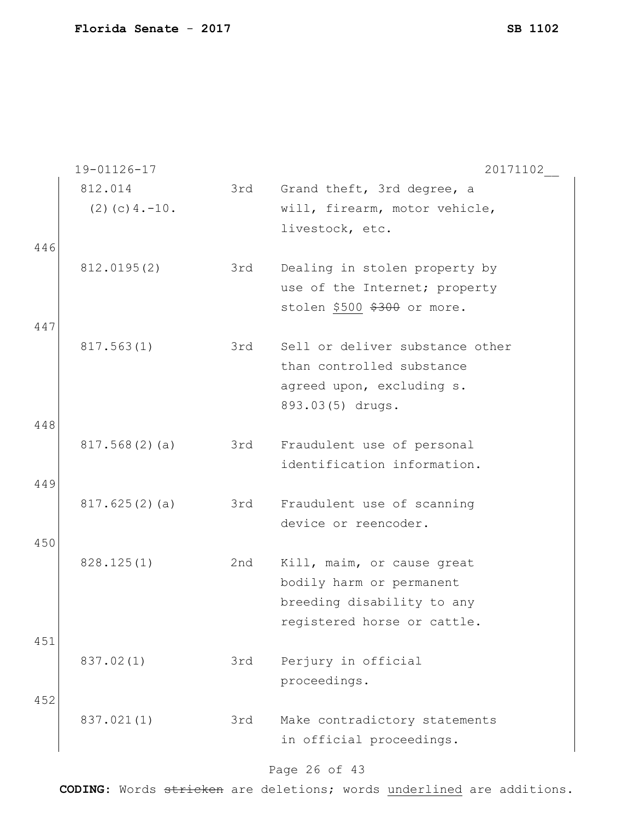|     | 19-01126-17       |     | 20171102                                                  |
|-----|-------------------|-----|-----------------------------------------------------------|
|     | 812.014           | 3rd | Grand theft, 3rd degree, a                                |
|     | $(2)$ (c) 4. -10. |     | will, firearm, motor vehicle,                             |
|     |                   |     | livestock, etc.                                           |
| 446 |                   |     |                                                           |
|     | 812.0195(2)       | 3rd | Dealing in stolen property by                             |
|     |                   |     | use of the Internet; property                             |
|     |                   |     | stolen \$500 \$300 or more.                               |
| 447 |                   |     |                                                           |
|     | 817.563(1)        | 3rd | Sell or deliver substance other                           |
|     |                   |     | than controlled substance                                 |
|     |                   |     | agreed upon, excluding s.                                 |
|     |                   |     | 893.03(5) drugs.                                          |
| 448 |                   |     |                                                           |
|     | 817.568(2)(a)     | 3rd | Fraudulent use of personal<br>identification information. |
| 449 |                   |     |                                                           |
|     | 817.625(2)(a)     | 3rd | Fraudulent use of scanning                                |
|     |                   |     | device or reencoder.                                      |
| 450 |                   |     |                                                           |
|     | 828.125(1)        | 2nd | Kill, maim, or cause great                                |
|     |                   |     | bodily harm or permanent                                  |
|     |                   |     | breeding disability to any                                |
|     |                   |     | registered horse or cattle.                               |
| 451 |                   |     |                                                           |
|     | 837.02(1)         | 3rd | Perjury in official                                       |
|     |                   |     | proceedings.                                              |
| 452 |                   |     |                                                           |
|     | 837.021(1)        | 3rd | Make contradictory statements                             |
|     |                   |     | in official proceedings.                                  |
|     |                   |     |                                                           |

#### Page 26 of 43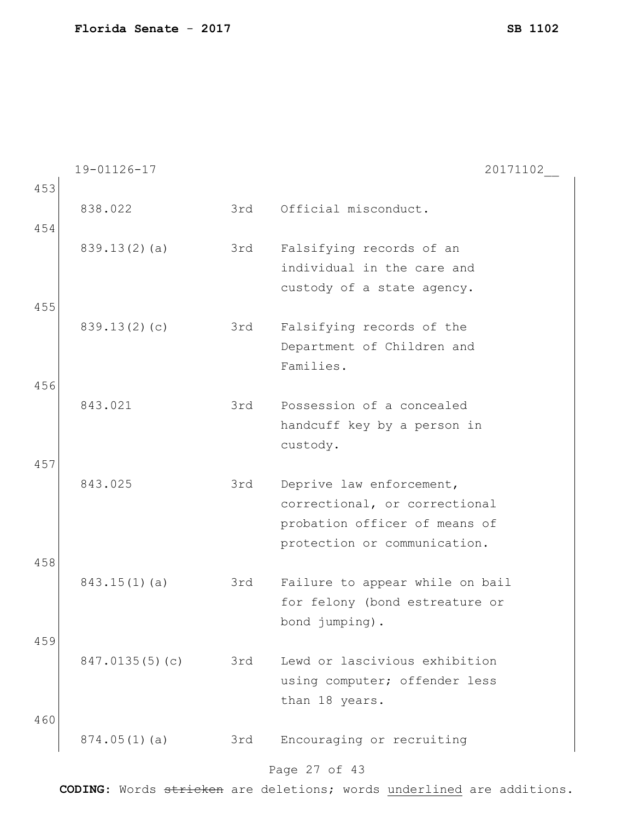19-01126-17 20171102\_\_ 453 838.022 3rd Official misconduct. 454 839.13(2)(a) 3rd Falsifying records of an individual in the care and custody of a state agency. 455 839.13(2)(c) 3rd Falsifying records of the Department of Children and Families. 456 843.021 3rd Possession of a concealed handcuff key by a person in custody. 457 843.025 3rd Deprive law enforcement, correctional, or correctional probation officer of means of protection or communication. 458 843.15(1)(a) 3rd Failure to appear while on bail for felony (bond estreature or bond jumping). 459 847.0135(5)(c) 3rd Lewd or lascivious exhibition using computer; offender less than 18 years. 460 874.05(1)(a) 3rd Encouraging or recruiting

#### Page 27 of 43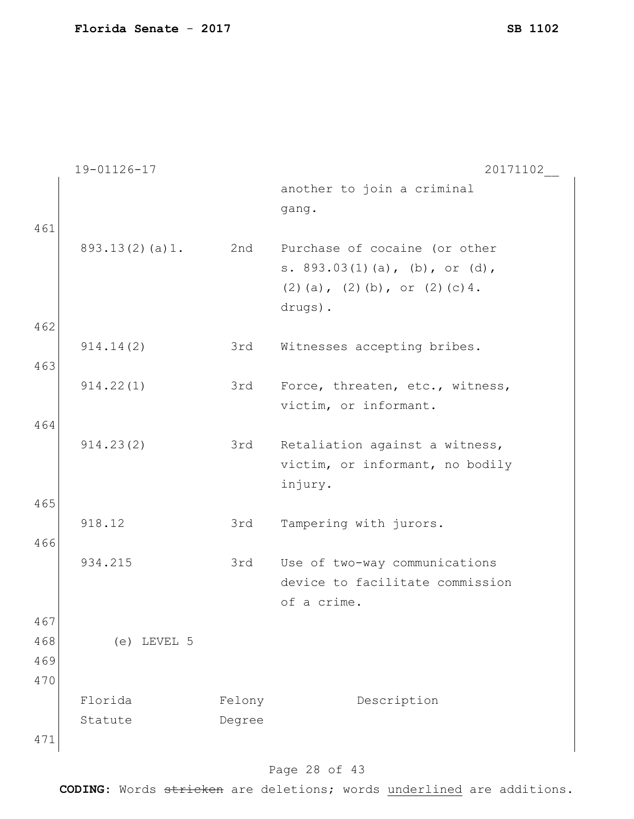|     | 19-01126-17    |        | 20171102                              |
|-----|----------------|--------|---------------------------------------|
|     |                |        | another to join a criminal            |
|     |                |        | gang.                                 |
| 461 |                |        |                                       |
|     | 893.13(2)(a)1. | 2nd    | Purchase of cocaine (or other         |
|     |                |        | s. $893.03(1)(a)$ , (b), or (d),      |
|     |                |        | $(2)$ (a), $(2)$ (b), or $(2)$ (c) 4. |
|     |                |        | drugs).                               |
| 462 |                |        |                                       |
|     | 914.14(2)      | 3rd    | Witnesses accepting bribes.           |
| 463 |                |        |                                       |
|     | 914.22(1)      | 3rd    | Force, threaten, etc., witness,       |
|     |                |        | victim, or informant.                 |
| 464 |                |        |                                       |
|     | 914.23(2)      | 3rd    | Retaliation against a witness,        |
|     |                |        | victim, or informant, no bodily       |
|     |                |        | injury.                               |
| 465 |                |        |                                       |
|     | 918.12         | 3rd    | Tampering with jurors.                |
| 466 |                |        |                                       |
|     | 934.215        | 3rd    | Use of two-way communications         |
|     |                |        | device to facilitate commission       |
|     |                |        | of a crime.                           |
| 467 |                |        |                                       |
| 468 | $(e)$ LEVEL 5  |        |                                       |
| 469 |                |        |                                       |
| 470 |                |        |                                       |
|     | Florida        |        | Description                           |
|     |                | Felony |                                       |
|     | Statute        | Degree |                                       |
| 471 |                |        |                                       |

# Page 28 of 43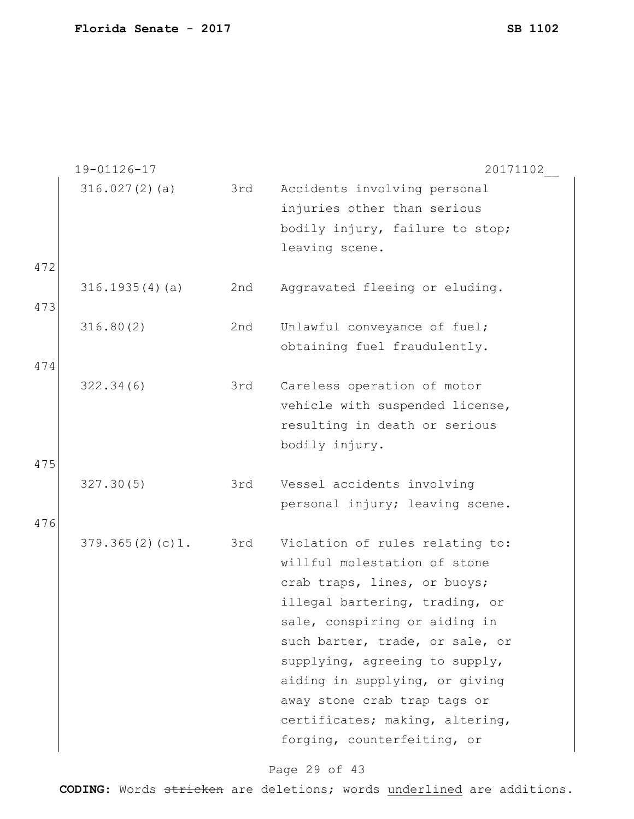|            | 19-01126-17     |     | 20171102                                                                                                                                                                                                                                                                                                                                                                    |
|------------|-----------------|-----|-----------------------------------------------------------------------------------------------------------------------------------------------------------------------------------------------------------------------------------------------------------------------------------------------------------------------------------------------------------------------------|
|            | 316.027(2)(a)   | 3rd | Accidents involving personal<br>injuries other than serious                                                                                                                                                                                                                                                                                                                 |
|            |                 |     | bodily injury, failure to stop;<br>leaving scene.                                                                                                                                                                                                                                                                                                                           |
| 472        |                 |     |                                                                                                                                                                                                                                                                                                                                                                             |
| 473        | 316.1935(4)(a)  | 2nd | Aggravated fleeing or eluding.                                                                                                                                                                                                                                                                                                                                              |
| 474        | 316.80(2)       | 2nd | Unlawful conveyance of fuel;<br>obtaining fuel fraudulently.                                                                                                                                                                                                                                                                                                                |
|            | 322.34(6)       | 3rd | Careless operation of motor<br>vehicle with suspended license,<br>resulting in death or serious<br>bodily injury.                                                                                                                                                                                                                                                           |
| 475<br>476 | 327.30(5)       | 3rd | Vessel accidents involving<br>personal injury; leaving scene.                                                                                                                                                                                                                                                                                                               |
|            | 379.365(2)(c)1. | 3rd | Violation of rules relating to:<br>willful molestation of stone<br>crab traps, lines, or buoys;<br>illegal bartering, trading, or<br>sale, conspiring or aiding in<br>such barter, trade, or sale, or<br>supplying, agreeing to supply,<br>aiding in supplying, or giving<br>away stone crab trap tags or<br>certificates; making, altering,<br>forging, counterfeiting, or |

# Page 29 of 43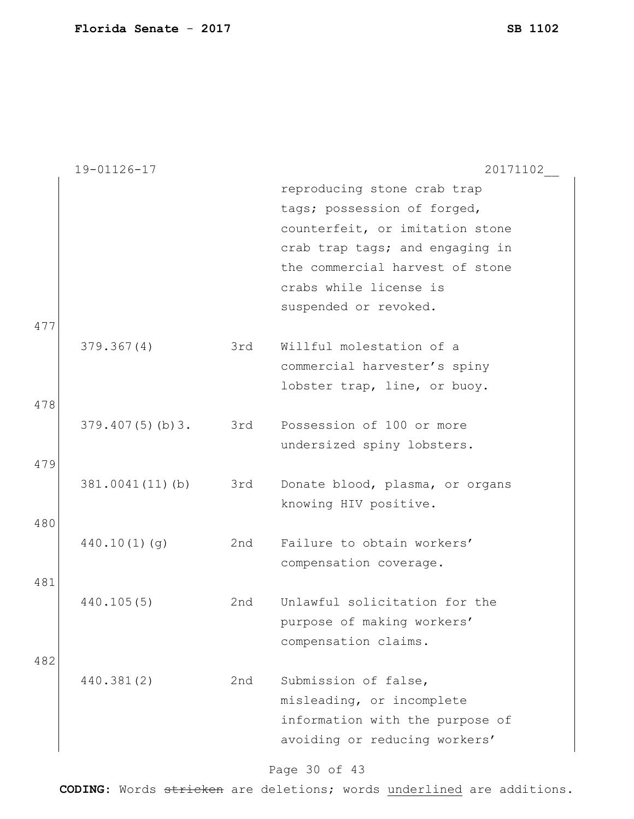|     | 19-01126-17     |     | 20171102                        |
|-----|-----------------|-----|---------------------------------|
|     |                 |     | reproducing stone crab trap     |
|     |                 |     | tags; possession of forged,     |
|     |                 |     | counterfeit, or imitation stone |
|     |                 |     | crab trap tags; and engaging in |
|     |                 |     | the commercial harvest of stone |
|     |                 |     | crabs while license is          |
|     |                 |     | suspended or revoked.           |
| 477 |                 |     |                                 |
|     | 379.367(4)      | 3rd | Willful molestation of a        |
|     |                 |     | commercial harvester's spiny    |
|     |                 |     | lobster trap, line, or buoy.    |
| 478 |                 |     |                                 |
|     | 379.407(5)(b)3. | 3rd | Possession of 100 or more       |
|     |                 |     | undersized spiny lobsters.      |
| 479 |                 |     |                                 |
|     | 381.0041(11)(b) | 3rd | Donate blood, plasma, or organs |
|     |                 |     | knowing HIV positive.           |
| 480 |                 |     |                                 |
|     | 440.10(1)(q)    | 2nd | Failure to obtain workers'      |
|     |                 |     | compensation coverage.          |
| 481 |                 |     |                                 |
|     | 440.105(5)      | 2nd | Unlawful solicitation for the   |
|     |                 |     | purpose of making workers'      |
|     |                 |     | compensation claims.            |
| 482 |                 |     |                                 |
|     | 440.381(2)      | 2nd | Submission of false,            |
|     |                 |     | misleading, or incomplete       |
|     |                 |     | information with the purpose of |
|     |                 |     | avoiding or reducing workers'   |

# Page 30 of 43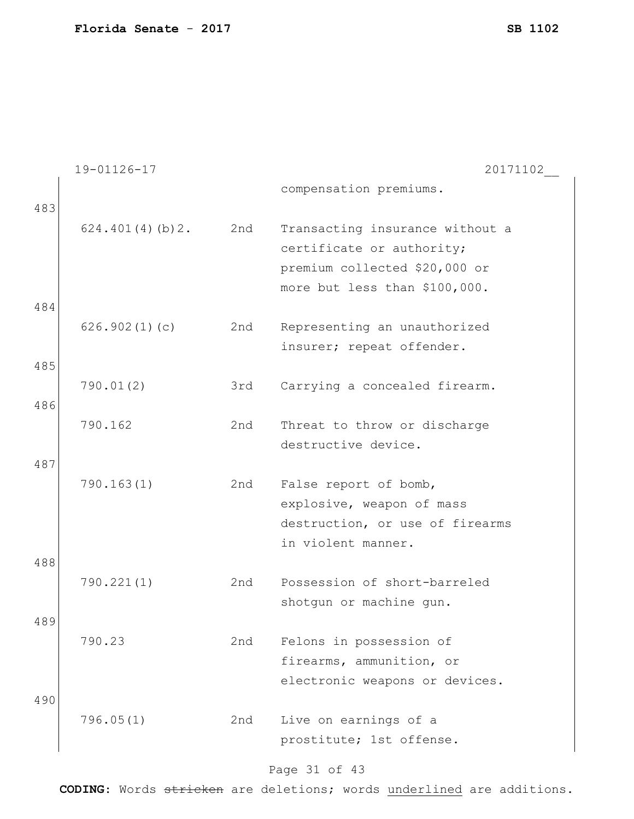|            | 19-01126-17     |     | 20171102                                                                                                                       |
|------------|-----------------|-----|--------------------------------------------------------------------------------------------------------------------------------|
| 483        |                 |     | compensation premiums.                                                                                                         |
| 484        | 624.401(4)(b)2. | 2nd | Transacting insurance without a<br>certificate or authority;<br>premium collected \$20,000 or<br>more but less than \$100,000. |
|            | 626.902(1)(c)   | 2nd | Representing an unauthorized<br>insurer; repeat offender.                                                                      |
| 485        |                 |     |                                                                                                                                |
| 486        | 790.01(2)       | 3rd | Carrying a concealed firearm.                                                                                                  |
|            | 790.162         | 2nd | Threat to throw or discharge<br>destructive device.                                                                            |
| 487        | 790.163(1)      | 2nd | False report of bomb,<br>explosive, weapon of mass<br>destruction, or use of firearms<br>in violent manner.                    |
| 488        |                 |     |                                                                                                                                |
|            | 790.221(1)      | 2nd | Possession of short-barreled<br>shotgun or machine gun.                                                                        |
| 489<br>490 | 790.23          | 2nd | Felons in possession of<br>firearms, ammunition, or<br>electronic weapons or devices.                                          |
|            | 796.05(1)       | 2nd | Live on earnings of a<br>prostitute; 1st offense.                                                                              |

#### Page 31 of 43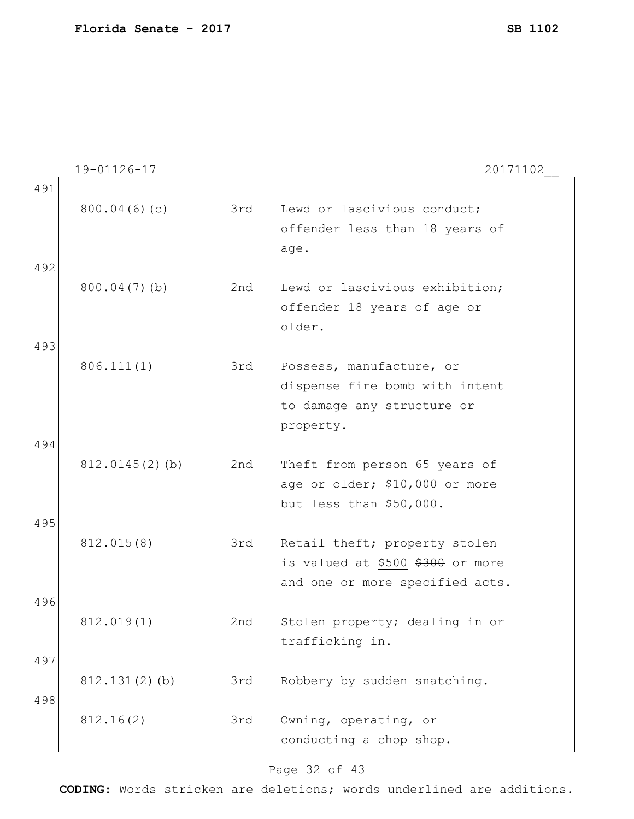|     | 19-01126-17       |     | 20171102                                                      |
|-----|-------------------|-----|---------------------------------------------------------------|
| 491 |                   |     |                                                               |
|     | 800.04(6)(c)      | 3rd | Lewd or lascivious conduct;                                   |
|     |                   |     | offender less than 18 years of                                |
|     |                   |     | age.                                                          |
| 492 |                   | 2nd |                                                               |
|     | 800.04(7)(b)      |     | Lewd or lascivious exhibition;<br>offender 18 years of age or |
|     |                   |     | older.                                                        |
| 493 |                   |     |                                                               |
|     | 806.111(1)        | 3rd | Possess, manufacture, or                                      |
|     |                   |     | dispense fire bomb with intent                                |
|     |                   |     | to damage any structure or                                    |
|     |                   |     | property.                                                     |
| 494 |                   |     |                                                               |
|     | $812.0145(2)$ (b) | 2nd | Theft from person 65 years of                                 |
|     |                   |     | age or older; \$10,000 or more                                |
|     |                   |     | but less than \$50,000.                                       |
| 495 |                   |     |                                                               |
|     | 812.015(8)        | 3rd | Retail theft; property stolen                                 |
|     |                   |     | is valued at \$500 \$300 or more                              |
| 496 |                   |     | and one or more specified acts.                               |
|     | 812.019(1)        | 2nd | Stolen property; dealing in or                                |
|     |                   |     | trafficking in.                                               |
| 497 |                   |     |                                                               |
|     | $812.131(2)$ (b)  | 3rd | Robbery by sudden snatching.                                  |
| 498 |                   |     |                                                               |
|     | 812.16(2)         | 3rd | Owning, operating, or                                         |
|     |                   |     | conducting a chop shop.                                       |
|     |                   |     |                                                               |

# Page 32 of 43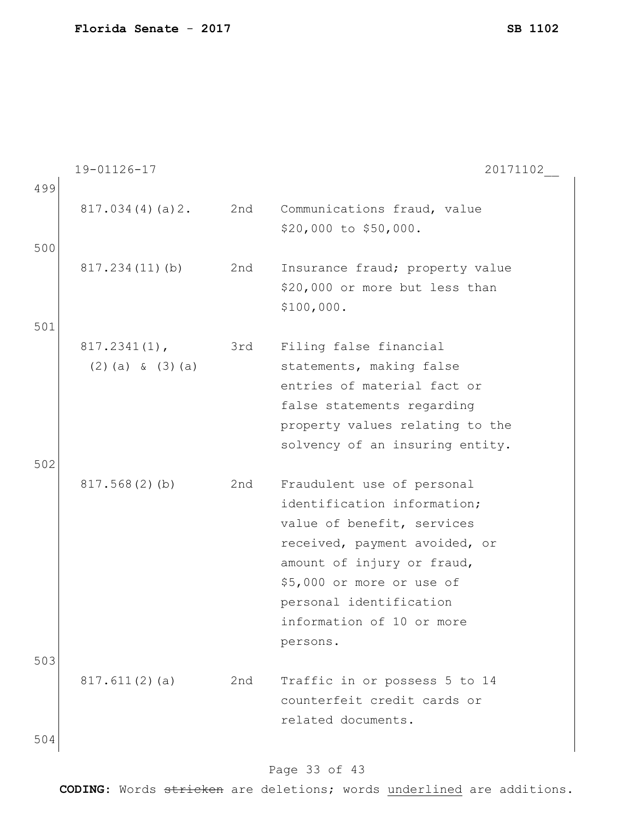19-01126-17 20171102\_\_ 499 817.034(4)(a)2. 2nd Communications fraud, value \$20,000 to \$50,000. 500 817.234(11)(b) 2nd Insurance fraud; property value \$20,000 or more but less than \$100,000. 501 817.2341(1), (2)(a) & (3)(a) 3rd Filing false financial statements, making false entries of material fact or false statements regarding property values relating to the solvency of an insuring entity. 502 817.568(2)(b) 2nd Fraudulent use of personal identification information; value of benefit, services received, payment avoided, or amount of injury or fraud, \$5,000 or more or use of personal identification information of 10 or more persons. 503 817.611(2)(a) 2nd Traffic in or possess 5 to 14 counterfeit credit cards or related documents. 504

#### Page 33 of 43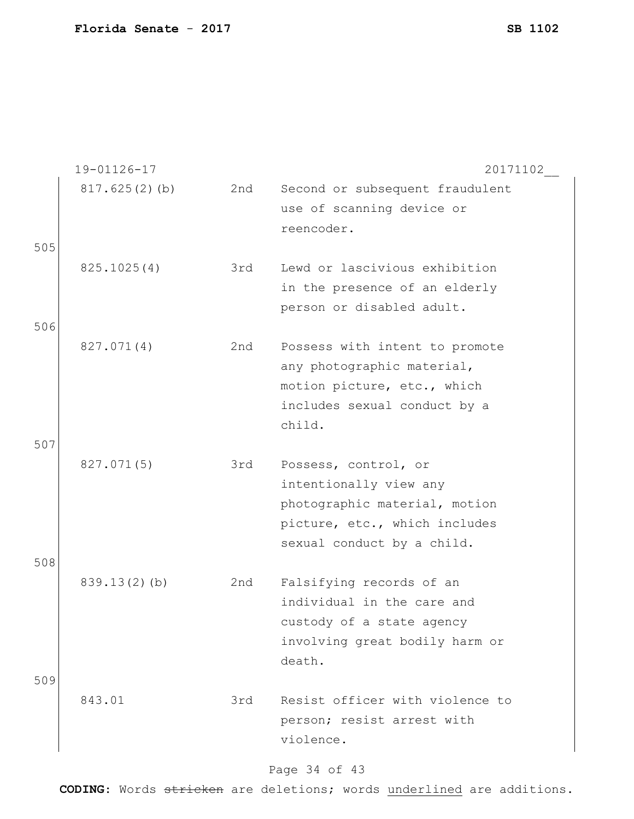|     | 19-01126-17   |     | 20171102                        |
|-----|---------------|-----|---------------------------------|
|     | 817.625(2)(b) | 2nd | Second or subsequent fraudulent |
|     |               |     | use of scanning device or       |
|     |               |     | reencoder.                      |
| 505 |               |     |                                 |
|     | 825.1025(4)   | 3rd | Lewd or lascivious exhibition   |
|     |               |     | in the presence of an elderly   |
|     |               |     | person or disabled adult.       |
| 506 |               |     |                                 |
|     | 827.071(4)    | 2nd | Possess with intent to promote  |
|     |               |     | any photographic material,      |
|     |               |     | motion picture, etc., which     |
|     |               |     | includes sexual conduct by a    |
|     |               |     | child.                          |
| 507 |               |     |                                 |
|     | 827.071(5)    | 3rd | Possess, control, or            |
|     |               |     | intentionally view any          |
|     |               |     | photographic material, motion   |
|     |               |     | picture, etc., which includes   |
|     |               |     | sexual conduct by a child.      |
| 508 |               |     |                                 |
|     | 839.13(2)(b)  | 2nd | Falsifying records of an        |
|     |               |     | individual in the care and      |
|     |               |     | custody of a state agency       |
|     |               |     | involving great bodily harm or  |
|     |               |     | death.                          |
| 509 |               |     |                                 |
|     | 843.01        | 3rd | Resist officer with violence to |
|     |               |     | person; resist arrest with      |
|     |               |     | violence.                       |
|     |               |     |                                 |

# Page 34 of 43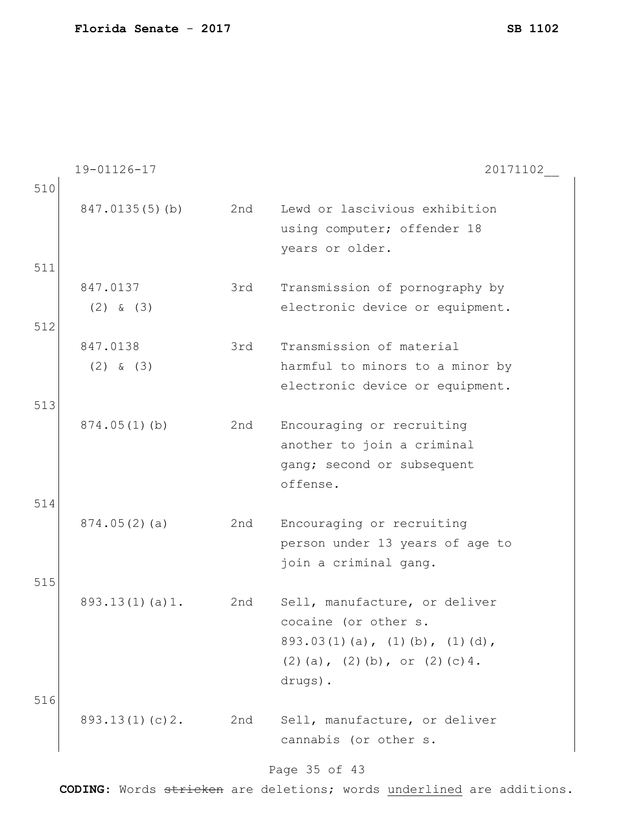|     | 19-01126-17    |     | 20171102                               |
|-----|----------------|-----|----------------------------------------|
| 510 |                |     |                                        |
|     | 847.0135(5)(b) | 2nd | Lewd or lascivious exhibition          |
|     |                |     | using computer; offender 18            |
|     |                |     | years or older.                        |
| 511 |                |     |                                        |
|     | 847.0137       | 3rd | Transmission of pornography by         |
|     | $(2)$ & $(3)$  |     | electronic device or equipment.        |
| 512 |                |     |                                        |
|     | 847.0138       | 3rd | Transmission of material               |
|     | $(2)$ & $(3)$  |     | harmful to minors to a minor by        |
|     |                |     | electronic device or equipment.        |
| 513 |                |     |                                        |
|     | 874.05(1)(b)   | 2nd | Encouraging or recruiting              |
|     |                |     | another to join a criminal             |
|     |                |     | gang; second or subsequent             |
|     |                |     | offense.                               |
| 514 |                |     |                                        |
|     | 874.05(2)(a)   | 2nd | Encouraging or recruiting              |
|     |                |     | person under 13 years of age to        |
|     |                |     | join a criminal gang.                  |
| 515 |                |     |                                        |
|     | 893.13(1)(a)1. | 2nd | Sell, manufacture, or deliver          |
|     |                |     | cocaine (or other s.                   |
|     |                |     | $893.03(1)(a)$ , $(1)(b)$ , $(1)(d)$ , |
|     |                |     | $(2)$ (a), $(2)$ (b), or $(2)$ (c) 4.  |
|     |                |     | drugs).                                |
| 516 |                |     |                                        |
|     | 893.13(1)(c)2. | 2nd | Sell, manufacture, or deliver          |
|     |                |     | cannabis (or other s.                  |
|     |                |     |                                        |

# Page 35 of 43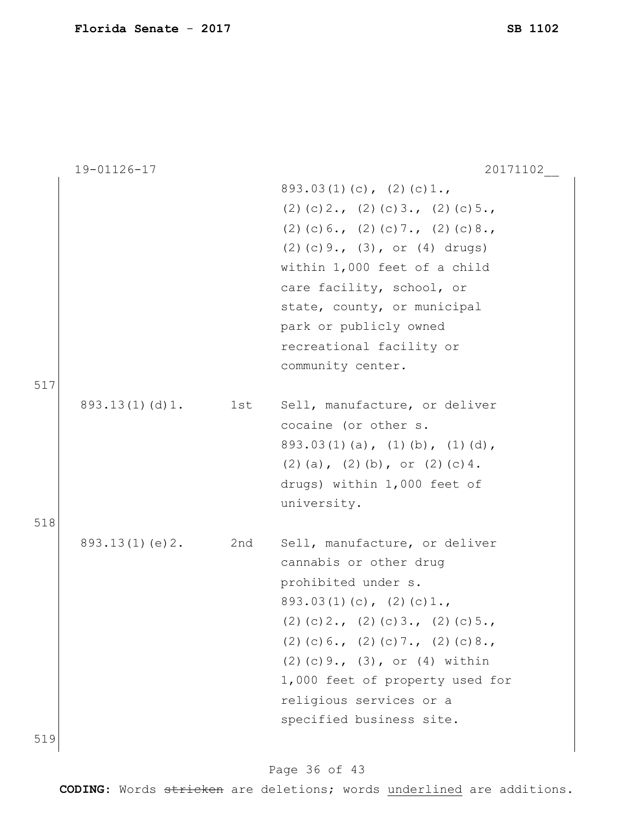|            | 19-01126-17    |     | 20171102                                                                                                                                                                                                                                                                                                                      |
|------------|----------------|-----|-------------------------------------------------------------------------------------------------------------------------------------------------------------------------------------------------------------------------------------------------------------------------------------------------------------------------------|
|            |                |     | $893.03(1)(c)$ , $(2)(c)1.$<br>$(2)$ (c) 2., (2) (c) 3., (2) (c) 5.,<br>$(2)$ (c) 6., (2) (c) 7., (2) (c) 8.,<br>$(2)$ (c) 9., $(3)$ , or $(4)$ drugs)<br>within 1,000 feet of a child<br>care facility, school, or<br>state, county, or municipal<br>park or publicly owned<br>recreational facility or<br>community center. |
| 517        | 893.13(1)(d)1. | 1st | Sell, manufacture, or deliver<br>cocaine (or other s.<br>$893.03(1)(a)$ , $(1)(b)$ , $(1)(d)$ ,<br>$(2)$ (a), $(2)$ (b), or $(2)$ (c) 4.<br>drugs) within 1,000 feet of<br>university.                                                                                                                                        |
| 518<br>519 | 893.13(1)(e)2. | 2nd | Sell, manufacture, or deliver<br>cannabis or other drug<br>prohibited under s.<br>$893.03(1)(c)$ , $(2)(c)1.$<br>$(2)$ (c) 2., (2) (c) 3., (2) (c) 5.,<br>$(2)$ (c) 6., (2) (c) 7., (2) (c) 8.,<br>$(2)$ (c) 9., (3), or (4) within<br>1,000 feet of property used for<br>religious services or a<br>specified business site. |

519

# Page 36 of 43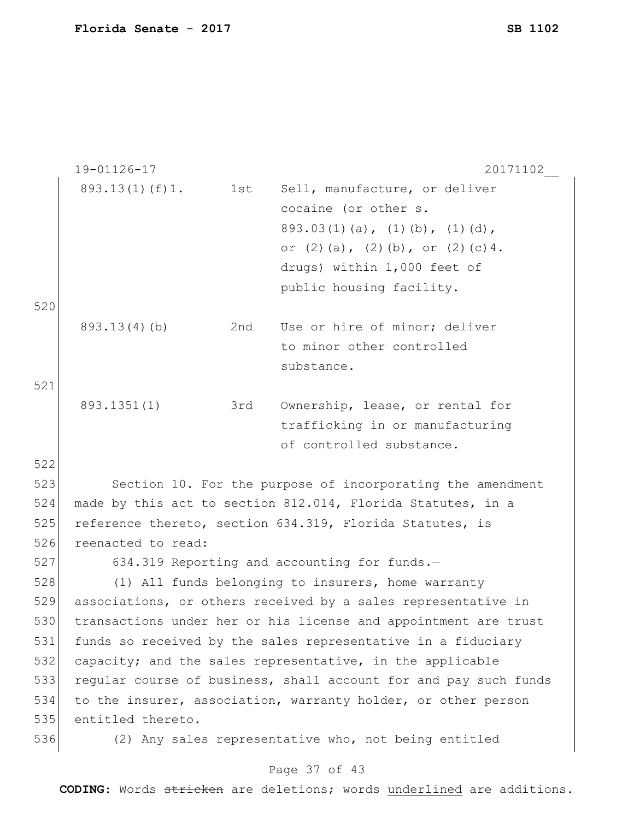|     | 19-01126-17        |     | 20171102                                                         |
|-----|--------------------|-----|------------------------------------------------------------------|
|     | 893.13(1)(f)1.     | 1st | Sell, manufacture, or deliver                                    |
|     |                    |     | cocaine (or other s.                                             |
|     |                    |     | $893.03(1)(a)$ , $(1)(b)$ , $(1)(d)$ ,                           |
|     |                    |     | or $(2)$ $(a)$ , $(2)$ $(b)$ , or $(2)$ $(c)$ 4.                 |
|     |                    |     | drugs) within 1,000 feet of                                      |
|     |                    |     | public housing facility.                                         |
| 520 |                    |     |                                                                  |
|     | 893.13(4)(b)       | 2nd | Use or hire of minor; deliver                                    |
|     |                    |     | to minor other controlled                                        |
|     |                    |     | substance.                                                       |
| 521 |                    |     |                                                                  |
|     | 893.1351(1)        | 3rd | Ownership, lease, or rental for                                  |
|     |                    |     | trafficking in or manufacturing                                  |
|     |                    |     | of controlled substance.                                         |
| 522 |                    |     |                                                                  |
| 523 |                    |     | Section 10. For the purpose of incorporating the amendment       |
| 524 |                    |     | made by this act to section 812.014, Florida Statutes, in a      |
| 525 |                    |     | reference thereto, section 634.319, Florida Statutes, is         |
| 526 | reenacted to read: |     |                                                                  |
| 527 |                    |     | 634.319 Reporting and accounting for funds.-                     |
| 528 |                    |     | (1) All funds belonging to insurers, home warranty               |
| 529 |                    |     | associations, or others received by a sales representative in    |
| 530 |                    |     | transactions under her or his license and appointment are trust  |
| 531 |                    |     | funds so received by the sales representative in a fiduciary     |
| 532 |                    |     | capacity; and the sales representative, in the applicable        |
| 533 |                    |     | regular course of business, shall account for and pay such funds |
| 534 |                    |     | to the insurer, association, warranty holder, or other person    |
| 535 | entitled thereto.  |     |                                                                  |
| 536 |                    |     | (2) Any sales representative who, not being entitled             |
|     |                    |     |                                                                  |

#### Page 37 of 43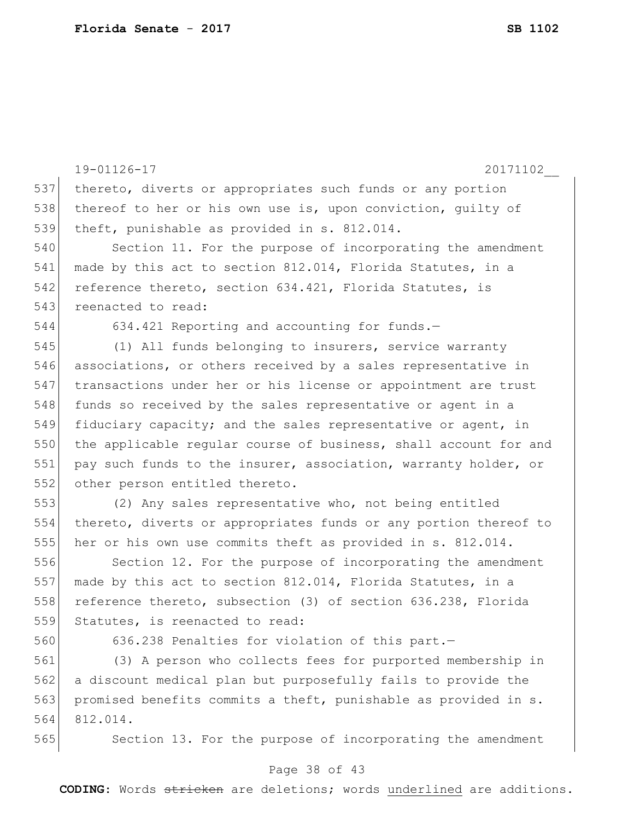|     | 20171102<br>19-01126-17                                          |
|-----|------------------------------------------------------------------|
| 537 | thereto, diverts or appropriates such funds or any portion       |
| 538 | thereof to her or his own use is, upon conviction, quilty of     |
| 539 | theft, punishable as provided in s. 812.014.                     |
| 540 | Section 11. For the purpose of incorporating the amendment       |
| 541 | made by this act to section 812.014, Florida Statutes, in a      |
| 542 | reference thereto, section 634.421, Florida Statutes, is         |
| 543 | reenacted to read:                                               |
| 544 | 634.421 Reporting and accounting for funds.-                     |
| 545 | (1) All funds belonging to insurers, service warranty            |
| 546 | associations, or others received by a sales representative in    |
| 547 | transactions under her or his license or appointment are trust   |
| 548 | funds so received by the sales representative or agent in a      |
| 549 | fiduciary capacity; and the sales representative or agent, in    |
| 550 | the applicable regular course of business, shall account for and |
| 551 | pay such funds to the insurer, association, warranty holder, or  |
| 552 | other person entitled thereto.                                   |
| 553 | (2) Any sales representative who, not being entitled             |
| 554 | thereto, diverts or appropriates funds or any portion thereof to |
| 555 | her or his own use commits theft as provided in s. 812.014.      |
| 556 | Section 12. For the purpose of incorporating the amendment       |
| 557 | made by this act to section 812.014, Florida Statutes, in a      |
| 558 | reference thereto, subsection (3) of section 636.238, Florida    |
| 559 | Statutes, is reenacted to read:                                  |
| 560 | 636.238 Penalties for violation of this part.-                   |
| 561 | (3) A person who collects fees for purported membership in       |
| 562 | a discount medical plan but purposefully fails to provide the    |
| 563 | promised benefits commits a theft, punishable as provided in s.  |
| 564 | 812.014.                                                         |
| 565 | Section 13. For the purpose of incorporating the amendment       |
|     | Page 38 of 43                                                    |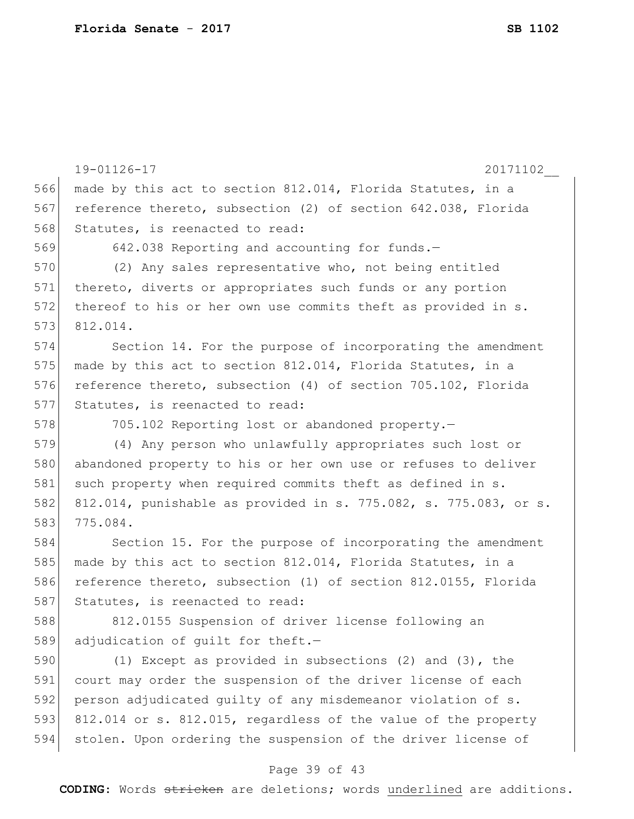|     | 19-01126-17<br>20171102                                          |
|-----|------------------------------------------------------------------|
| 566 | made by this act to section 812.014, Florida Statutes, in a      |
| 567 | reference thereto, subsection (2) of section 642.038, Florida    |
| 568 | Statutes, is reenacted to read:                                  |
| 569 | 642.038 Reporting and accounting for funds.-                     |
| 570 | (2) Any sales representative who, not being entitled             |
| 571 | thereto, diverts or appropriates such funds or any portion       |
| 572 | thereof to his or her own use commits theft as provided in s.    |
| 573 | 812.014.                                                         |
| 574 | Section 14. For the purpose of incorporating the amendment       |
| 575 | made by this act to section 812.014, Florida Statutes, in a      |
| 576 | reference thereto, subsection (4) of section 705.102, Florida    |
| 577 | Statutes, is reenacted to read:                                  |
| 578 | 705.102 Reporting lost or abandoned property.-                   |
| 579 | (4) Any person who unlawfully appropriates such lost or          |
| 580 | abandoned property to his or her own use or refuses to deliver   |
| 581 | such property when required commits theft as defined in s.       |
| 582 | 812.014, punishable as provided in s. 775.082, s. 775.083, or s. |
| 583 | 775.084.                                                         |
| 584 | Section 15. For the purpose of incorporating the amendment       |
| 585 | made by this act to section 812.014, Florida Statutes, in a      |
| 586 | reference thereto, subsection (1) of section 812.0155, Florida   |
| 587 | Statutes, is reenacted to read:                                  |
| 588 | 812.0155 Suspension of driver license following an               |
| 589 | adjudication of quilt for theft.-                                |
| 590 | (1) Except as provided in subsections (2) and $(3)$ , the        |
| 591 | court may order the suspension of the driver license of each     |
| 592 | person adjudicated quilty of any misdemeanor violation of s.     |
| 593 | 812.014 or s. 812.015, regardless of the value of the property   |
| 594 | stolen. Upon ordering the suspension of the driver license of    |

# Page 39 of 43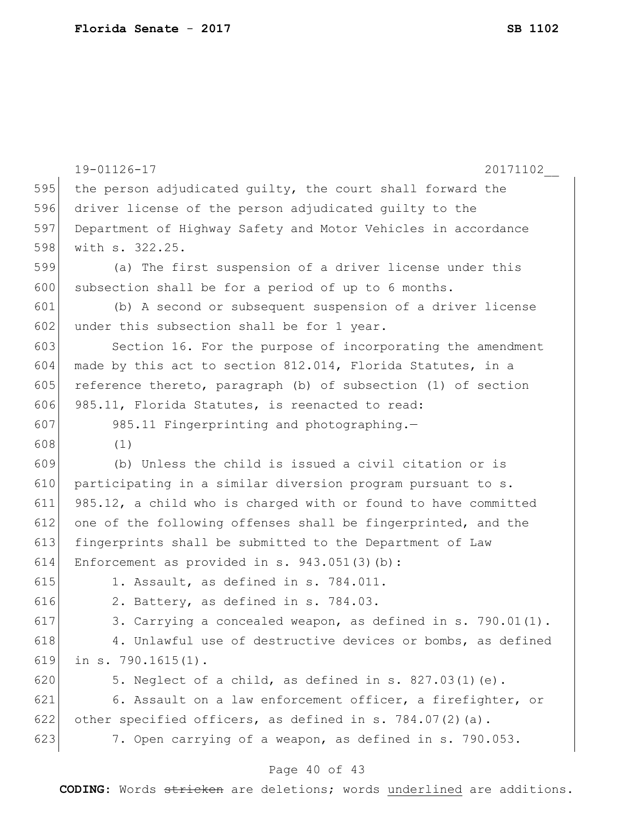```
19-01126-17 20171102__
                             Page 40 of 43
595 the person adjudicated guilty, the court shall forward the
596 driver license of the person adjudicated guilty to the 
597 Department of Highway Safety and Motor Vehicles in accordance 
598 with s. 322.25.
599 (a) The first suspension of a driver license under this 
600 subsection shall be for a period of up to 6 months.
601 (b) A second or subsequent suspension of a driver license 
602 under this subsection shall be for 1 year.
603 Section 16. For the purpose of incorporating the amendment 
604 made by this act to section 812.014, Florida Statutes, in a 
605 reference thereto, paragraph (b) of subsection (1) of section
606 985.11, Florida Statutes, is reenacted to read:
607 985.11 Fingerprinting and photographing.-
608 (1)
609 (b) Unless the child is issued a civil citation or is 
610 participating in a similar diversion program pursuant to s.
611 985.12, a child who is charged with or found to have committed 
612 one of the following offenses shall be fingerprinted, and the
613 fingerprints shall be submitted to the Department of Law 
614 Enforcement as provided in s. 943.051(3)(b):
615 1. Assault, as defined in s. 784.011.
616 \vert 2. Battery, as defined in s. 784.03.
617 3. Carrying a concealed weapon, as defined in s. 790.01(1).
618 4. Unlawful use of destructive devices or bombs, as defined
619 in s. 790.1615(1).
620 \vert 5. Neglect of a child, as defined in s. 827.03(1)(e).
621 6. Assault on a law enforcement officer, a firefighter, or 
622 other specified officers, as defined in s. 784.07(2)(a).
623 7. Open carrying of a weapon, as defined in s. 790.053.
```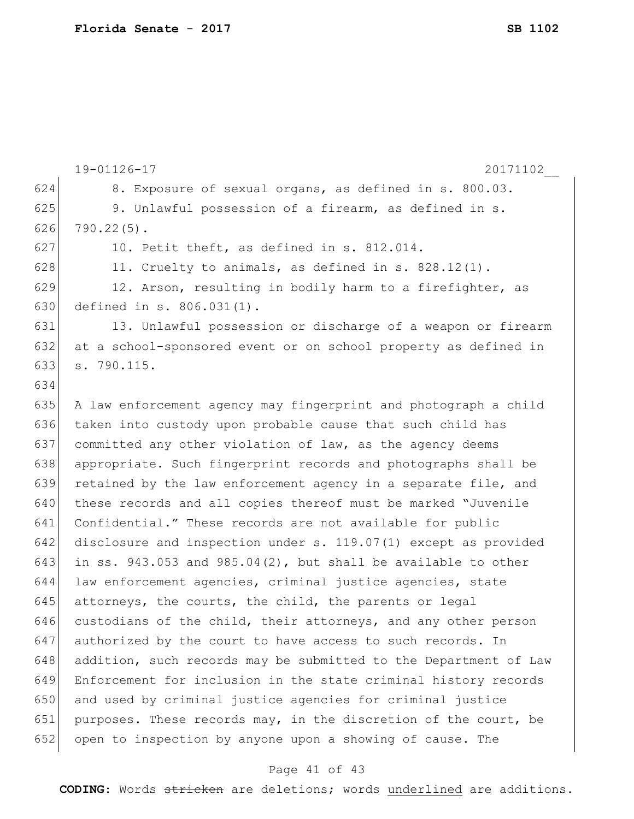19-01126-17 20171102\_\_ 624 8. Exposure of sexual organs, as defined in s. 800.03. 625 9. Unlawful possession of a firearm, as defined in s.  $626$  790.22(5). 627 10. Petit theft, as defined in s. 812.014. 628 11. Cruelty to animals, as defined in s.  $828.12(1)$ .  $629$  12. Arson, resulting in bodily harm to a firefighter, as 630 defined in s. 806.031(1). 631 13. Unlawful possession or discharge of a weapon or firearm 632 at a school-sponsored event or on school property as defined in 633 s. 790.115. 634 635 A law enforcement agency may fingerprint and photograph a child 636 taken into custody upon probable cause that such child has 637 committed any other violation of law, as the agency deems 638 appropriate. Such fingerprint records and photographs shall be 639 retained by the law enforcement agency in a separate file, and 640 these records and all copies thereof must be marked "Juvenile 641 Confidential." These records are not available for public 642 disclosure and inspection under s. 119.07(1) except as provided 643 in ss. 943.053 and 985.04(2), but shall be available to other 644 law enforcement agencies, criminal justice agencies, state 645 attorneys, the courts, the child, the parents or legal 646 custodians of the child, their attorneys, and any other person 647 authorized by the court to have access to such records. In 648 addition, such records may be submitted to the Department of Law 649 Enforcement for inclusion in the state criminal history records 650 and used by criminal justice agencies for criminal justice 651 purposes. These records may, in the discretion of the court, be 652 open to inspection by anyone upon a showing of cause. The

#### Page 41 of 43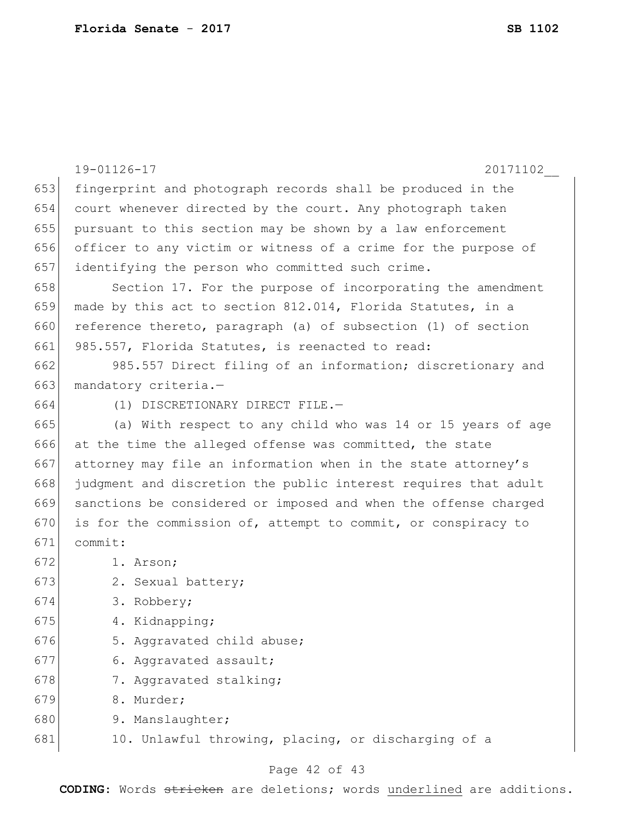|     | 19-01126-17<br>20171102                                         |
|-----|-----------------------------------------------------------------|
| 653 | fingerprint and photograph records shall be produced in the     |
| 654 | court whenever directed by the court. Any photograph taken      |
| 655 | pursuant to this section may be shown by a law enforcement      |
| 656 | officer to any victim or witness of a crime for the purpose of  |
| 657 | identifying the person who committed such crime.                |
| 658 | Section 17. For the purpose of incorporating the amendment      |
| 659 | made by this act to section 812.014, Florida Statutes, in a     |
| 660 | reference thereto, paragraph (a) of subsection (1) of section   |
| 661 | 985.557, Florida Statutes, is reenacted to read:                |
| 662 | 985.557 Direct filing of an information; discretionary and      |
| 663 | mandatory criteria.-                                            |
| 664 | (1) DISCRETIONARY DIRECT FILE.-                                 |
| 665 | (a) With respect to any child who was 14 or 15 years of age     |
| 666 | at the time the alleged offense was committed, the state        |
| 667 | attorney may file an information when in the state attorney's   |
| 668 | judgment and discretion the public interest requires that adult |
| 669 | sanctions be considered or imposed and when the offense charged |
| 670 | is for the commission of, attempt to commit, or conspiracy to   |
| 671 | commit:                                                         |
| 672 | 1. Arson;                                                       |
| 673 | 2. Sexual battery;                                              |
| 674 | 3. Robbery;                                                     |
| 675 | 4. Kidnapping;                                                  |
| 676 | 5. Aggravated child abuse;                                      |
| 677 | 6. Aggravated assault;                                          |
| 678 | 7. Aggravated stalking;                                         |
| 679 | 8. Murder;                                                      |
| 680 | 9. Manslaughter;                                                |
| 681 | 10. Unlawful throwing, placing, or discharging of a             |

# Page 42 of 43